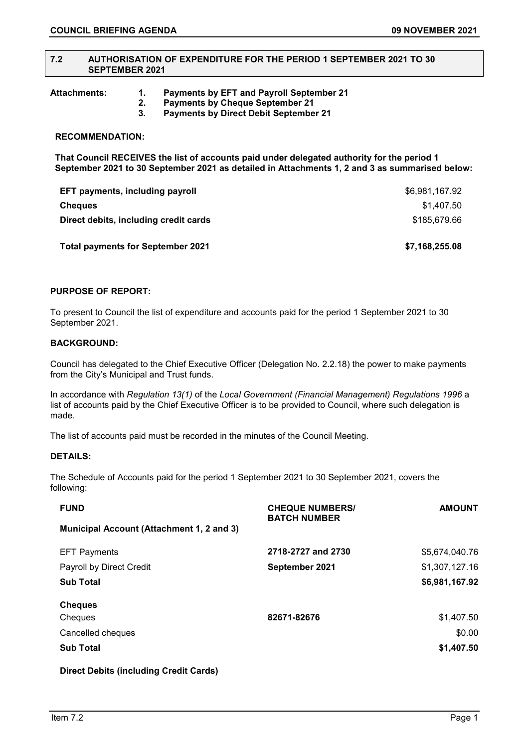#### **7.2 AUTHORISATION OF EXPENDITURE FOR THE PERIOD 1 SEPTEMBER 2021 TO 30 SEPTEMBER 2021**

**Attachments: 1. Payments by EFT and Payroll September 21** 

- **2. Payments by Cheque September 21**
- **3. Payments by Direct Debit September 21**

### **RECOMMENDATION:**

**That Council RECEIVES the list of accounts paid under delegated authority for the period 1 September 2021 to 30 September 2021 as detailed in Attachments 1, 2 and 3 as summarised below:**

| EFT payments, including payroll          | \$6,981,167.92 |
|------------------------------------------|----------------|
| <b>Cheques</b>                           | \$1.407.50     |
| Direct debits, including credit cards    | \$185,679.66   |
| <b>Total payments for September 2021</b> | \$7,168,255.08 |

# **PURPOSE OF REPORT:**

To present to Council the list of expenditure and accounts paid for the period 1 September 2021 to 30 September 2021.

## **BACKGROUND:**

Council has delegated to the Chief Executive Officer (Delegation No. 2.2.18) the power to make payments from the City's Municipal and Trust funds.

In accordance with *Regulation 13(1)* of the *Local Government (Financial Management) Regulations 1996* a list of accounts paid by the Chief Executive Officer is to be provided to Council, where such delegation is made.

The list of accounts paid must be recorded in the minutes of the Council Meeting.

#### **DETAILS:**

The Schedule of Accounts paid for the period 1 September 2021 to 30 September 2021, covers the following:

| <b>FUND</b>                                      | <b>CHEQUE NUMBERS/</b><br><b>BATCH NUMBER</b> | <b>AMOUNT</b>  |
|--------------------------------------------------|-----------------------------------------------|----------------|
| <b>Municipal Account (Attachment 1, 2 and 3)</b> |                                               |                |
| <b>EFT Payments</b>                              | 2718-2727 and 2730                            | \$5,674,040.76 |
| Payroll by Direct Credit                         | September 2021                                | \$1,307,127.16 |
| <b>Sub Total</b>                                 |                                               | \$6,981,167.92 |
| <b>Cheques</b>                                   |                                               |                |
| Cheques                                          | 82671-82676                                   | \$1,407.50     |
| Cancelled cheques                                |                                               | \$0.00         |
| <b>Sub Total</b>                                 |                                               | \$1,407.50     |

**Direct Debits (including Credit Cards)**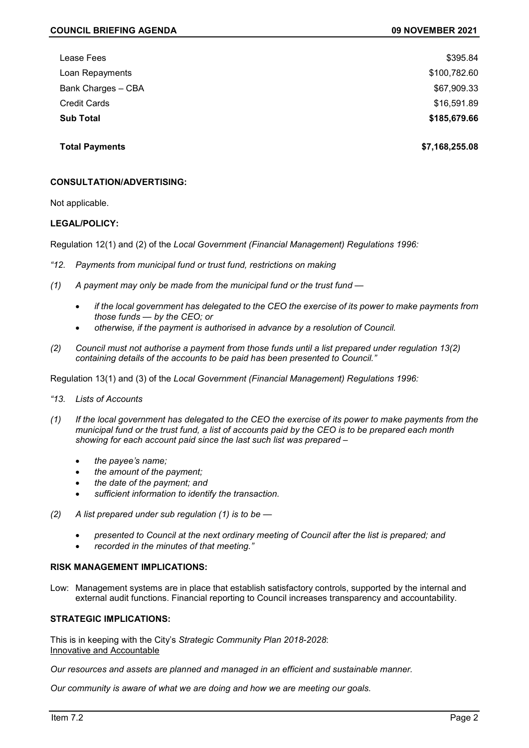| Lease Fees          | \$395.84     |
|---------------------|--------------|
| Loan Repayments     | \$100,782.60 |
| Bank Charges - CBA  | \$67,909.33  |
| <b>Credit Cards</b> | \$16,591.89  |
| <b>Sub Total</b>    | \$185,679.66 |
|                     |              |

**Total Payments \$7,168,255.08**

## **CONSULTATION/ADVERTISING:**

Not applicable.

### **LEGAL/POLICY:**

Regulation 12(1) and (2) of the *Local Government (Financial Management) Regulations 1996:*

- *"12. Payments from municipal fund or trust fund, restrictions on making*
- *(1) A payment may only be made from the municipal fund or the trust fund —*
	- *if the local government has delegated to the CEO the exercise of its power to make payments from those funds — by the CEO; or*
	- *otherwise, if the payment is authorised in advance by a resolution of Council.*
- *(2) Council must not authorise a payment from those funds until a list prepared under regulation 13(2) containing details of the accounts to be paid has been presented to Council."*

Regulation 13(1) and (3) of the *Local Government (Financial Management) Regulations 1996:*

- *"13. Lists of Accounts*
- *(1) If the local government has delegated to the CEO the exercise of its power to make payments from the municipal fund or the trust fund, a list of accounts paid by the CEO is to be prepared each month showing for each account paid since the last such list was prepared –*
	- *the payee's name;*
	- *the amount of the payment;*
	- *the date of the payment; and*
	- *sufficient information to identify the transaction.*
- *(2) A list prepared under sub regulation (1) is to be —*
	- *presented to Council at the next ordinary meeting of Council after the list is prepared; and*
	- *recorded in the minutes of that meeting."*

#### **RISK MANAGEMENT IMPLICATIONS:**

Low: Management systems are in place that establish satisfactory controls, supported by the internal and external audit functions. Financial reporting to Council increases transparency and accountability.

## **STRATEGIC IMPLICATIONS:**

This is in keeping with the City's *Strategic Community Plan 2018-2028*: Innovative and Accountable

*Our resources and assets are planned and managed in an efficient and sustainable manner.*

*Our community is aware of what we are doing and how we are meeting our goals.*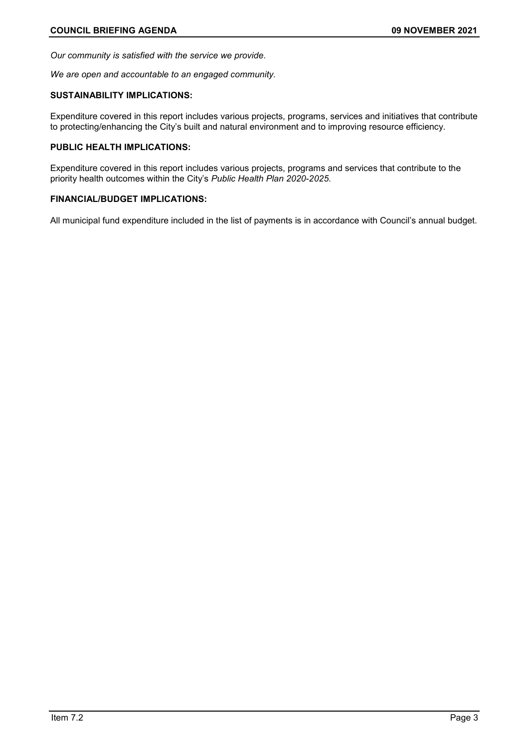*Our community is satisfied with the service we provide.*

*We are open and accountable to an engaged community.*

# **SUSTAINABILITY IMPLICATIONS:**

Expenditure covered in this report includes various projects, programs, services and initiatives that contribute to protecting/enhancing the City's built and natural environment and to improving resource efficiency.

# **PUBLIC HEALTH IMPLICATIONS:**

Expenditure covered in this report includes various projects, programs and services that contribute to the priority health outcomes within the City's *Public Health Plan 2020-2025*.

# **FINANCIAL/BUDGET IMPLICATIONS:**

All municipal fund expenditure included in the list of payments is in accordance with Council's annual budget.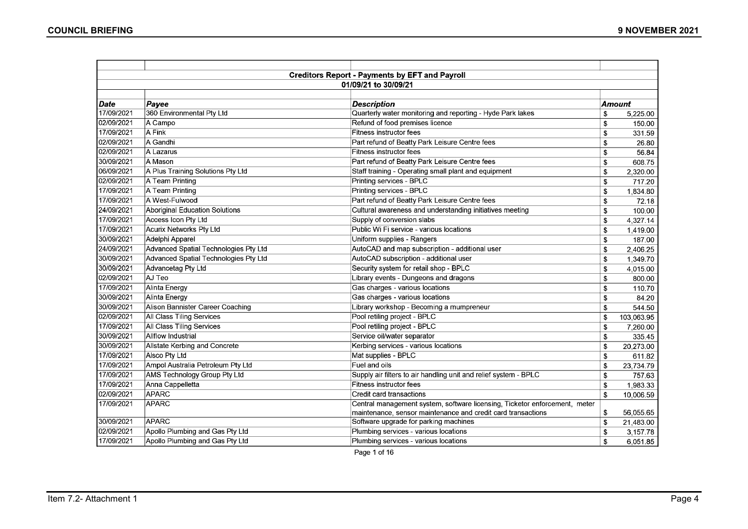|            |                                       | <b>Creditors Report - Payments by EFT and Payroll</b>                      |               |            |  |  |
|------------|---------------------------------------|----------------------------------------------------------------------------|---------------|------------|--|--|
|            | 01/09/21 to 30/09/21                  |                                                                            |               |            |  |  |
|            |                                       |                                                                            |               |            |  |  |
| Date       | Payee                                 | <b>Description</b>                                                         | <b>Amount</b> |            |  |  |
| 17/09/2021 | 360 Environmental Pty Ltd             | Quarterly water monitoring and reporting - Hyde Park lakes                 | \$            | 5,225.00   |  |  |
| 02/09/2021 | A Campo                               | Refund of food premises licence                                            | \$            | 150.00     |  |  |
| 17/09/2021 | A Fink                                | Fitness instructor fees                                                    | S             | 331.59     |  |  |
| 02/09/2021 | A Gandhi                              | Part refund of Beatty Park Leisure Centre fees                             | \$            | 26.80      |  |  |
| 02/09/2021 | A Lazarus                             | Fitness instructor fees                                                    | \$            | 56.84      |  |  |
| 30/09/2021 | A Mason                               | Part refund of Beatty Park Leisure Centre fees                             | \$            | 608.75     |  |  |
| 06/09/2021 | A Plus Training Solutions Pty Ltd     | Staff training - Operating small plant and equipment                       | \$            | 2,320.00   |  |  |
| 02/09/2021 | A Team Printing                       | Printing services - BPLC                                                   | \$            | 717.20     |  |  |
| 17/09/2021 | A Team Printing                       | Printing services - BPLC                                                   | \$            | 1,834.80   |  |  |
| 17/09/2021 | A West-Fulwood                        | Part refund of Beatty Park Leisure Centre fees                             | \$            | 72.18      |  |  |
| 24/09/2021 | Aboriginal Education Solutions        | Cultural awareness and understanding initiatives meeting                   | \$            | 100.00     |  |  |
| 17/09/2021 | Access Icon Pty Ltd                   | Supply of conversion slabs                                                 | \$            | 4,327.14   |  |  |
| 17/09/2021 | Acurix Networks Pty Ltd               | Public Wi Fi service - various locations                                   | \$            | 1,419.00   |  |  |
| 30/09/2021 | Adelphi Apparel                       | Uniform supplies - Rangers                                                 | \$            | 187.00     |  |  |
| 24/09/2021 | Advanced Spatial Technologies Pty Ltd | AutoCAD and map subscription - additional user                             | \$            | 2,406.25   |  |  |
| 30/09/2021 | Advanced Spatial Technologies Pty Ltd | AutoCAD subscription - additional user                                     | \$            | 1,349.70   |  |  |
| 30/09/2021 | Advancetag Pty Ltd                    | Security system for retail shop - BPLC                                     | \$            | 4,015.00   |  |  |
| 02/09/2021 | AJ Teo                                | Library events - Dungeons and dragons                                      | \$            | 800.00     |  |  |
| 17/09/2021 | Alinta Energy                         | Gas charges - various locations                                            | \$            | 110.70     |  |  |
| 30/09/2021 | Alinta Energy                         | Gas charges - various locations                                            | \$            | 84.20      |  |  |
| 30/09/2021 | Alison Bannister Career Coaching      | Library workshop - Becoming a mumpreneur                                   | \$            | 544.50     |  |  |
| 02/09/2021 | All Class Tiling Services             | Pool retiling project - BPLC                                               | \$            | 103,063.95 |  |  |
| 17/09/2021 | All Class Tiling Services             | Pool retiling project - BPLC                                               | \$            | 7,260.00   |  |  |
| 30/09/2021 | Allflow Industrial                    | Service oil/water separator                                                | \$            | 335.45     |  |  |
| 30/09/2021 | Allstate Kerbing and Concrete         | Kerbing services - various locations                                       | \$            | 20,273.00  |  |  |
| 17/09/2021 | Alsco Pty Ltd                         | Mat supplies - BPLC                                                        | S             | 611.82     |  |  |
| 17/09/2021 | Ampol Australia Petroleum Pty Ltd     | Fuel and oils                                                              | \$            | 23,734.79  |  |  |
| 17/09/2021 | AMS Technology Group Pty Ltd          | Supply air filters to air handling unit and relief system - BPLC           | \$            | 757.63     |  |  |
| 17/09/2021 | Anna Cappelletta                      | <b>Fitness instructor fees</b>                                             | \$            | 1,983.33   |  |  |
| 02/09/2021 | APARC                                 | Credit card transactions                                                   | \$            | 10,006.59  |  |  |
| 17/09/2021 | <b>APARC</b>                          | Central management system, software licensing, Ticketor enforcement, meter |               |            |  |  |
|            |                                       | maintenance, sensor maintenance and credit card transactions               | \$            | 56,055.65  |  |  |
| 30/09/2021 | APARC                                 | Software upgrade for parking machines                                      | \$            | 21,483.00  |  |  |
| 02/09/2021 | Apollo Plumbing and Gas Pty Ltd       | Plumbing services - various locations                                      | \$            | 3,157.78   |  |  |
| 17/09/2021 | Apollo Plumbing and Gas Pty Ltd       | Plumbing services - various locations                                      | \$            | 6,051.85   |  |  |

Page 1 of 16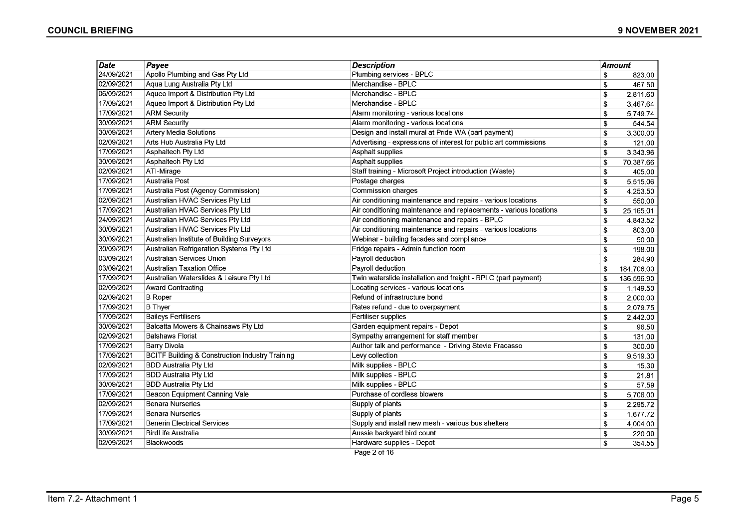| Date       | Payee                                                      | <b>Description</b>                                                | <b>Amount</b>             |            |
|------------|------------------------------------------------------------|-------------------------------------------------------------------|---------------------------|------------|
| 24/09/2021 | Apollo Plumbing and Gas Pty Ltd                            | Plumbing services - BPLC                                          | \$                        | 823.00     |
| 02/09/2021 | Aqua Lung Australia Pty Ltd                                | Merchandise - BPLC                                                | \$                        | 467.50     |
| 06/09/2021 | Aqueo Import & Distribution Pty Ltd                        | Merchandise - BPLC                                                | \$                        | 2,811.60   |
| 17/09/2021 | Aqueo Import & Distribution Pty Ltd                        | Merchandise - BPLC                                                | \$                        | 3,467.64   |
| 17/09/2021 | <b>ARM Security</b>                                        | Alarm monitoring - various locations                              | \$                        | 5,749.74   |
| 30/09/2021 | <b>ARM Security</b>                                        | Alarm monitoring - various locations                              | \$                        | 544.54     |
| 30/09/2021 | <b>Artery Media Solutions</b>                              | Design and install mural at Pride WA (part payment)               | \$                        | 3,300.00   |
| 02/09/2021 | Arts Hub Australia Pty Ltd                                 | Advertising - expressions of interest for public art commissions  | \$                        | 121.00     |
| 17/09/2021 | Asphaltech Pty Ltd                                         | Asphalt supplies                                                  | \$                        | 3,343.96   |
| 30/09/2021 | <b>Asphaltech Pty Ltd</b>                                  | <b>Asphalt supplies</b>                                           | \$                        | 70,387.66  |
| 02/09/2021 | ATI-Mirage                                                 | Staff training - Microsoft Project introduction (Waste)           | \$                        | 405.00     |
| 17/09/2021 | Australia Post                                             | Postage charges                                                   | \$                        | 5,515.06   |
| 17/09/2021 | Australia Post (Agency Commission)                         | <b>Commission charges</b>                                         | \$                        | 4,253.50   |
| 02/09/2021 | Australian HVAC Services Pty Ltd                           | Air conditioning maintenance and repairs - various locations      | \$                        | 550.00     |
| 17/09/2021 | Australian HVAC Services Pty Ltd                           | Air conditioning maintenance and replacements - various locations | \$                        | 25,165.01  |
| 24/09/2021 | Australian HVAC Services Pty Ltd                           | Air conditioning maintenance and repairs - BPLC                   | \$                        | 4,843.52   |
| 30/09/2021 | Australian HVAC Services Pty Ltd                           | Air conditioning maintenance and repairs - various locations      | \$                        | 803.00     |
| 30/09/2021 | Australian Institute of Building Surveyors                 | Webinar - building facades and compliance                         | \$                        | 50.00      |
| 30/09/2021 | Australian Refrigeration Systems Pty Ltd                   | Fridge repairs - Admin function room                              | \$                        | 198.00     |
| 03/09/2021 | Australian Services Union                                  | Payroll deduction                                                 | \$                        | 284.90     |
| 03/09/2021 | <b>Australian Taxation Office</b>                          | Payroll deduction                                                 | $\boldsymbol{\mathsf{s}}$ | 184,706.00 |
| 17/09/2021 | Australian Waterslides & Leisure Pty Ltd                   | Twin waterslide installation and freight - BPLC (part payment)    | \$                        | 136,596.90 |
| 02/09/2021 | <b>Award Contracting</b>                                   | Locating services - various locations                             | \$                        | 1,149.50   |
| 02/09/2021 | <b>B</b> Roper                                             | Refund of infrastructure bond                                     | $\mathbf s$               | 2,000.00   |
| 17/09/2021 | <b>B</b> Thyer                                             | Rates refund - due to overpayment                                 | \$                        | 2,079.75   |
| 17/09/2021 | <b>Baileys Fertilisers</b>                                 | Fertiliser supplies                                               | \$                        | 2,442.00   |
| 30/09/2021 | Balcatta Mowers & Chainsaws Pty Ltd                        | Garden equipment repairs - Depot                                  | \$                        | 96.50      |
| 02/09/2021 | <b>Balshaws Florist</b>                                    | Sympathy arrangement for staff member                             | \$                        | 131.00     |
| 17/09/2021 | <b>Barry Divola</b>                                        | Author talk and performance - Driving Stevie Fracasso             | $\boldsymbol{\mathsf{s}}$ | 300.00     |
| 17/09/2021 | <b>BCITF Building &amp; Construction Industry Training</b> | Levy collection                                                   | \$                        | 9,519.30   |
| 02/09/2021 | <b>BDD Australia Pty Ltd</b>                               | Milk supplies - BPLC                                              | \$                        | 15.30      |
| 17/09/2021 | <b>BDD Australia Pty Ltd</b>                               | Milk supplies - BPLC                                              | \$                        | 21.81      |
| 30/09/2021 | <b>BDD Australia Pty Ltd</b>                               | Milk supplies - BPLC                                              | \$                        | 57.59      |
| 17/09/2021 | <b>Beacon Equipment Canning Vale</b>                       | Purchase of cordless blowers                                      | \$                        | 5,706.00   |
| 02/09/2021 | <b>Benara Nurseries</b>                                    | Supply of plants                                                  | \$                        | 2,295.72   |
| 17/09/2021 | <b>Benara Nurseries</b>                                    | Supply of plants                                                  | \$                        | 1,677.72   |
| 17/09/2021 | <b>Benerin Electrical Services</b>                         | Supply and install new mesh - various bus shelters                | \$                        | 4,004.00   |
| 30/09/2021 | BirdLife Australia                                         | Aussie backyard bird count                                        | \$                        | 220.00     |
| 02/09/2021 | Blackwoods                                                 | Hardware supplies - Depot                                         | \$                        | 354.55     |

Page 2 of 16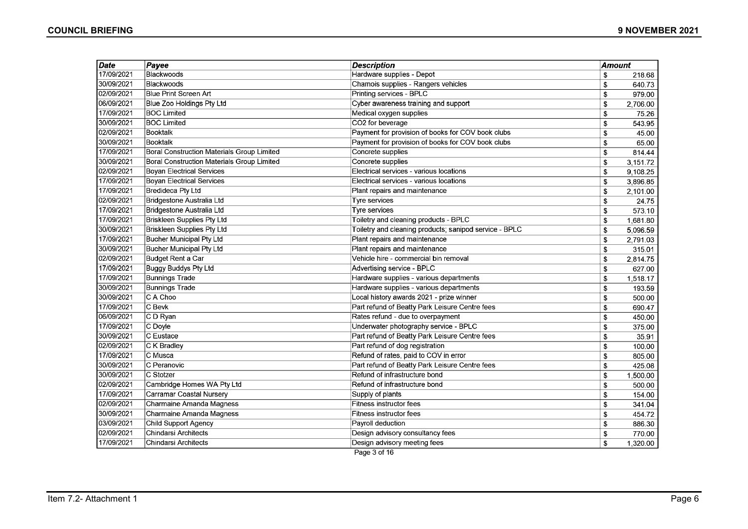| <b>Date</b> | Page                                              | <b>Description</b>                                     | Amount |          |
|-------------|---------------------------------------------------|--------------------------------------------------------|--------|----------|
| 17/09/2021  | Blackwoods                                        | Hardware supplies - Depot                              | \$     | 218.68   |
| 30/09/2021  | Blackwoods                                        | Chamois supplies - Rangers vehicles                    | \$     | 640.73   |
| 02/09/2021  | Blue Print Screen Art                             | Printing services - BPLC                               | \$     | 979.00   |
| 06/09/2021  | Blue Zoo Holdings Pty Ltd                         | Cyber awareness training and support                   | \$     | 2,706.00 |
| 17/09/2021  | <b>BOC Limited</b>                                | Medical oxygen supplies                                | \$     | 75.26    |
| 30/09/2021  | <b>BOC Limited</b>                                | CO2 for beverage                                       | \$     | 543.95   |
| 02/09/2021  | Booktalk                                          | Payment for provision of books for COV book clubs      | \$     | 45.00    |
| 30/09/2021  | Booktalk                                          | Payment for provision of books for COV book clubs      | \$     | 65.00    |
| 17/09/2021  | Boral Construction Materials Group Limited        | Concrete supplies                                      | \$     | 814.44   |
| 30/09/2021  | <b>Boral Construction Materials Group Limited</b> | Concrete supplies                                      | \$     | 3,151.72 |
| 02/09/2021  | <b>Boyan Electrical Services</b>                  | Electrical services - various locations                | \$     | 9,108.25 |
| 17/09/2021  | <b>Boyan Electrical Services</b>                  | Electrical services - various locations                | \$     | 3,896.85 |
| 17/09/2021  | Bredideca Pty Ltd                                 | Plant repairs and maintenance                          | \$     | 2,101.00 |
| 02/09/2021  | Bridgestone Australia Ltd                         | Tyre services                                          | \$     | 24.75    |
| 17/09/2021  | Bridgestone Australia Ltd                         | Tyre services                                          | \$     | 573.10   |
| 17/09/2021  | <b>Briskleen Supplies Pty Ltd</b>                 | Toiletry and cleaning products - BPLC                  | \$     | 1,681.80 |
| 30/09/2021  | <b>Briskleen Supplies Pty Ltd</b>                 | Toiletry and cleaning products; sanipod service - BPLC | \$     | 5,096.59 |
| 17/09/2021  | Bucher Municipal Pty Ltd                          | Plant repairs and maintenance                          | \$     | 2,791.03 |
| 30/09/2021  | Bucher Municipal Pty Ltd                          | Plant repairs and maintenance                          | \$     | 315.01   |
| 02/09/2021  | Budget Rent a Car                                 | Vehicle hire - commercial bin removal                  | \$     | 2,814.75 |
| 17/09/2021  | Buggy Buddys Pty Ltd                              | Advertising service - BPLC                             | \$     | 627.00   |
| 17/09/2021  | <b>Bunnings Trade</b>                             | Hardware supplies - various departments                | \$     | 1,518.17 |
| 30/09/2021  | <b>Bunnings Trade</b>                             | Hardware supplies - various departments                | \$     | 193.59   |
| 30/09/2021  | C A Choo                                          | Local history awards 2021 - prize winner               | \$     | 500.00   |
| 17/09/2021  | C Bevk                                            | Part refund of Beatty Park Leisure Centre fees         | \$     | 690.47   |
| 06/09/2021  | $C$ D Ryan                                        | Rates refund - due to overpayment                      | \$     | 450.00   |
| 17/09/2021  | $C$ Doyle                                         | Underwater photography service - BPLC                  | \$     | 375.00   |
| 30/09/2021  | C Eustace                                         | Part refund of Beatty Park Leisure Centre fees         | \$     | 35.91    |
| 02/09/2021  | C K Bradley                                       | Part refund of dog registration                        | \$     | 100.00   |
| 17/09/2021  | C Musca                                           | Refund of rates, paid to COV in error                  | \$     | 805.00   |
| 30/09/2021  | C Peranovic                                       | Part refund of Beatty Park Leisure Centre fees         | \$     | 425.08   |
| 30/09/2021  | C Stotzer                                         | Refund of infrastructure bond                          | \$     | 1,500.00 |
| 02/09/2021  | Cambridge Homes WA Pty Ltd                        | Refund of infrastructure bond                          | \$     | 500.00   |
| 17/09/2021  | Carramar Coastal Nursery                          | Supply of plants                                       | \$     | 154.00   |
| 02/09/2021  | Charmaine Amanda Magness                          | Fitness instructor fees                                | \$     | 341.04   |
| 30/09/2021  | Charmaine Amanda Magness                          | Fitness instructor fees                                | \$     | 454.72   |
| 03/09/2021  | Child Support Agency                              | Payroll deduction                                      | \$     | 886.30   |
| 02/09/2021  | <b>Chindarsi Architects</b>                       | Design advisory consultancy fees                       | \$     | 770.00   |
| 17/09/2021  | <b>Chindarsi Architects</b>                       | Design advisory meeting fees                           | \$     | 1,320.00 |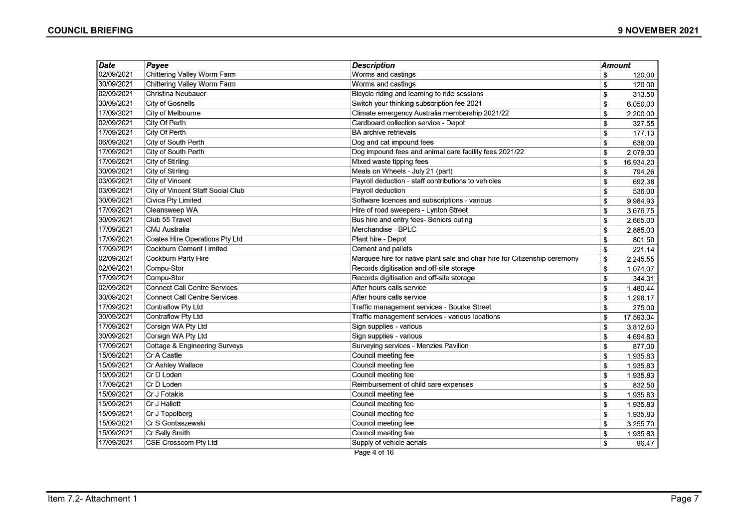| <b>Date</b> | $P$ ayee                            | <b>Description</b>                                                         | <b>Amount</b> |           |
|-------------|-------------------------------------|----------------------------------------------------------------------------|---------------|-----------|
| 02/09/2021  | Chittering Valley Worm Farm         | Worms and castings                                                         | \$            | 120.00    |
| 30/09/2021  | Chittering Valley Worm Farm         | Worms and castings                                                         | \$            | 120.00    |
| 02/09/2021  | Christina Neubauer                  | Bicycle riding and learning to ride sessions                               | \$            | 313.50    |
| 30/09/2021  | <b>City of Gosnells</b>             | Switch your thinking subscription fee 2021                                 | \$            | 6,050.00  |
| 17/09/2021  | City of Melbourne                   | Climate emergency Australia membership 2021/22                             | \$            | 2,200.00  |
| 02/09/2021  | City Of Perth                       | Cardboard collection service - Depot                                       | \$            | 327.55    |
| 17/09/2021  | City Of Perth                       | BA archive retrievals                                                      | \$            | 177.13    |
| 06/09/2021  | City of South Perth                 | Dog and cat impound fees                                                   | \$            | 638.00    |
| 17/09/2021  | City of South Perth                 | Dog impound fees and animal care facility fees 2021/22                     | \$            | 2,079.00  |
| 17/09/2021  | City of Stirling                    | Mixed waste tipping fees                                                   | \$            | 16,934.20 |
| 30/09/2021  | City of Stirling                    | Meals on Wheels - July 21 (part)                                           | \$            | 794.26    |
| 03/09/2021  | <b>City of Vincent</b>              | Payroll deduction - staff contributions to vehicles                        | \$            | 692.38    |
| 03/09/2021  | City of Vincent Staff Social Club   | Payroll deduction                                                          | \$            | 536.00    |
| 30/09/2021  | Civica Pty Limited                  | Software licences and subscriptions - various                              | \$            | 9,984.93  |
| 17/09/2021  | Cleansweep WA                       | Hire of road sweepers - Lynton Street                                      | \$            | 3,676.75  |
| 30/09/2021  | Club 55 Travel                      | Bus hire and entry fees- Seniors outing                                    | \$            | 2,665.00  |
| 17/09/2021  | CMJ Australia                       | Merchandise - BPLC                                                         | \$            | 2,885.00  |
| 17/09/2021  | Coates Hire Operations Pty Ltd      | Plant hire - Depot                                                         | \$            | 801.50    |
| 17/09/2021  | Cockburn Cement Limited             | Cement and pallets                                                         | \$            | 221.14    |
| 02/09/2021  | Cockburn Party Hire                 | Marquee hire for native plant sale and chair hire for Citizenship ceremony | \$            | 2,245.55  |
| 02/09/2021  | Compu-Stor                          | Records digitisation and off-site storage                                  | \$            | 1,074.07  |
| 17/09/2021  | Compu-Stor                          | Records digitisation and off-site storage                                  | \$            | 344.31    |
| 02/09/2021  | Connect Call Centre Services        | After hours calls service                                                  | \$            | 1,480.44  |
| 30/09/2021  | <b>Connect Call Centre Services</b> | After hours calls service                                                  | \$            | 1,298.17  |
| 17/09/2021  | Contraflow Pty Ltd                  | Traffic management services - Bourke Street                                | \$            | 275.00    |
| 30/09/2021  | Contraflow Pty Ltd                  | Traffic management services - various locations                            | \$            | 17,593.04 |
| 17/09/2021  | Corsign WA Pty Ltd                  | Sign supplies - various                                                    | \$            | 3,812.60  |
| 30/09/2021  | Corsign WA Pty Ltd                  | Sign supplies - various                                                    | \$            | 4,694.80  |
| 17/09/2021  | Cottage & Engineering Surveys       | Surveying services - Menzies Pavilion                                      | \$            | 877.00    |
| 15/09/2021  | Cr A Castle                         | Council meeting fee                                                        | \$            | 1,935.83  |
| 15/09/2021  | Cr Ashley Wallace                   | Council meeting fee                                                        | \$            | 1,935.83  |
| 15/09/2021  | Cr D Loden                          | Council meeting fee                                                        | \$            | 1,935.83  |
| 17/09/2021  | Cr D Loden                          | Reimbursement of child care expenses                                       | \$            | 832.50    |
| 15/09/2021  | Cr J Fotakis                        | Council meeting fee                                                        | \$            | 1,935.83  |
| 15/09/2021  | Cr J Hallett                        | Council meeting fee                                                        | \$            | 1,935.83  |
| 15/09/2021  | Cr J Topelberg                      | Council meeting fee                                                        | \$            | 1,935.83  |
| 15/09/2021  | Cr S Gontaszewski                   | Council meeting fee                                                        | \$            | 3,255.70  |
| 15/09/2021  | Cr Sally Smith                      | Council meeting fee                                                        | \$            | 1,935.83  |
| 17/09/2021  | CSE Crosscom Pty Ltd                | Supply of vehicle aerials                                                  | \$            | 96.47     |

Page 4 of 16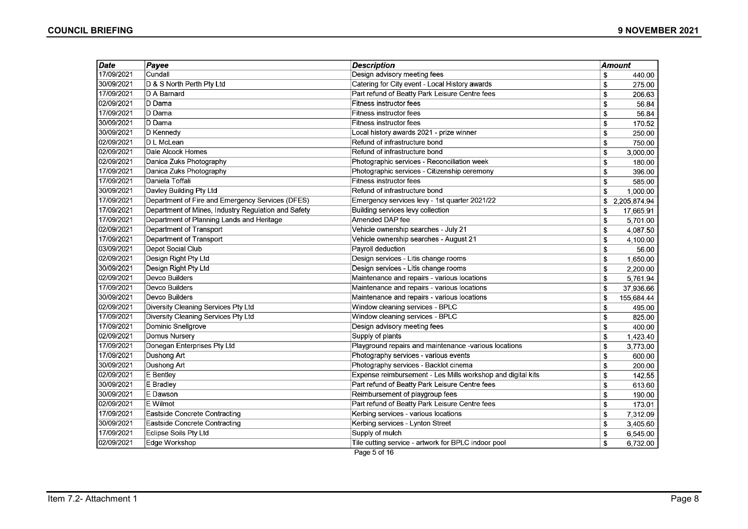| Date       | Payee                                               | <b>Description</b>                                          | <b>Amount</b>      |
|------------|-----------------------------------------------------|-------------------------------------------------------------|--------------------|
| 17/09/2021 | Cundall                                             | Design advisory meeting fees                                | \$<br>440.00       |
| 30/09/2021 | D & S North Perth Pty Ltd                           | Catering for City event - Local History awards              | \$<br>275.00       |
| 17/09/2021 | D A Barnard                                         | Part refund of Beatty Park Leisure Centre fees              | \$<br>206.63       |
| 02/09/2021 | D Dama                                              | <b>Fitness instructor fees</b>                              | \$<br>56.84        |
| 17/09/2021 | D Dama                                              | Fitness instructor fees                                     | \$<br>56.84        |
| 30/09/2021 | D Dama                                              | Fitness instructor fees                                     | \$<br>170.52       |
| 30/09/2021 | D Kennedy                                           | Local history awards 2021 - prize winner                    | \$<br>250.00       |
| 02/09/2021 | D L McLean                                          | Refund of infrastructure bond                               | \$<br>750.00       |
| 02/09/2021 | Dale Alcock Homes                                   | Refund of infrastructure bond                               | \$<br>3,000.00     |
| 02/09/2021 | Danica Zuks Photography                             | Photographic services - Reconciliation week                 | \$<br>180.00       |
| 17/09/2021 | Danica Zuks Photography                             | Photographic services - Citizenship ceremony                | \$<br>396.00       |
| 17/09/2021 | Daniela Toffali                                     | Fitness instructor fees                                     | \$<br>585.00       |
| 30/09/2021 | Davley Building Pty Ltd                             | Refund of infrastructure bond                               | \$<br>1,000.00     |
| 17/09/2021 | Department of Fire and Emergency Services (DFES)    | Emergency services levy - 1st quarter 2021/22               | \$<br>2,205,874.94 |
| 17/09/2021 | Department of Mines, Industry Regulation and Safety | Building services levy collection                           | \$<br>17,665.91    |
| 17/09/2021 | Department of Planning Lands and Heritage           | Amended DAP fee                                             | \$<br>5,701.00     |
| 02/09/2021 | Department of Transport                             | Vehicle ownership searches - July 21                        | \$<br>4.087.50     |
| 17/09/2021 | Department of Transport                             | Vehicle ownership searches - August 21                      | \$<br>4,100.00     |
| 03/09/2021 | Depot Social Club                                   | Payroll deduction                                           | \$<br>56.00        |
| 02/09/2021 | Design Right Pty Ltd                                | Design services - Litis change rooms                        | \$<br>1,650.00     |
| 30/09/2021 | Design Right Pty Ltd                                | Design services - Litis change rooms                        | \$<br>2,200.00     |
| 02/09/2021 | Devco Builders                                      | Maintenance and repairs - various locations                 | \$<br>5,761.94     |
| 17/09/2021 | Devco Builders                                      | Maintenance and repairs - various locations                 | 37,936.66<br>\$    |
| 30/09/2021 | Devco Builders                                      | Maintenance and repairs - various locations                 | \$<br>155,684.44   |
| 02/09/2021 | Diversity Cleaning Services Pty Ltd                 | Window cleaning services - BPLC                             | \$<br>495.00       |
| 17/09/2021 | Diversity Cleaning Services Pty Ltd                 | Window cleaning services - BPLC                             | \$<br>825.00       |
| 17/09/2021 | Dominic Snellgrove                                  | Design advisory meeting fees                                | \$<br>400.00       |
| 02/09/2021 | Domus Nursery                                       | Supply of plants                                            | 1,423.40<br>\$     |
| 17/09/2021 | Donegan Enterprises Pty Ltd                         | Playground repairs and maintenance -various locations       | \$<br>3,773.00     |
| 17/09/2021 | Dushong Art                                         | Photography services - various events                       | \$<br>600.00       |
| 30/09/2021 | Dushong Art                                         | Photography services - Backlot cinema                       | \$<br>200.00       |
| 02/09/2021 | E Bentley                                           | Expense reimbursement - Les Mills workshop and digital kits | \$<br>142.55       |
| 30/09/2021 | E Bradley                                           | Part refund of Beatty Park Leisure Centre fees              | \$<br>613.60       |
| 30/09/2021 | E Dawson                                            | Reimbursement of playgroup fees                             | \$<br>190.00       |
| 02/09/2021 | E Wilmot                                            | Part refund of Beatty Park Leisure Centre fees              | \$<br>173.01       |
| 17/09/2021 | Eastside Concrete Contracting                       | Kerbing services - various locations                        | \$<br>7,312.09     |
| 30/09/2021 | Eastside Concrete Contracting                       | Kerbing services - Lynton Street                            | \$<br>3,405.60     |
| 17/09/2021 | <b>Eclipse Soils Pty Ltd</b>                        | Supply of mulch                                             | \$<br>6,545.00     |
| 02/09/2021 | Edge Workshop                                       | Tile cutting service - artwork for BPLC indoor pool         | \$<br>6,732.00     |
|            |                                                     | Page 5 of 16                                                |                    |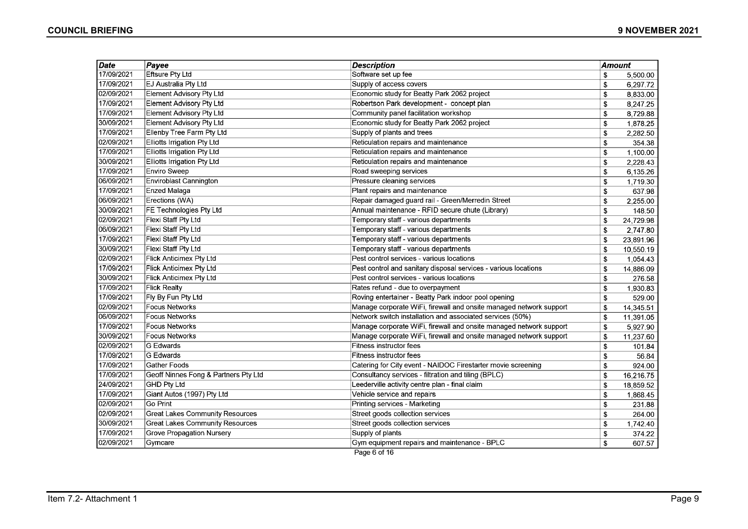| <b>Date</b> | Payee                                  | <b>Description</b>                                                 | <b>Amount</b> |           |
|-------------|----------------------------------------|--------------------------------------------------------------------|---------------|-----------|
| 17/09/2021  | Eftsure Pty Ltd                        | Software set up fee                                                | \$            | 5,500.00  |
| 17/09/2021  | EJ Australia Pty Ltd                   | Supply of access covers                                            | \$            | 6,297.72  |
| 02/09/2021  | <b>Element Advisory Pty Ltd</b>        | Economic study for Beatty Park 2062 project                        | \$            | 8,833.00  |
| 17/09/2021  | <b>Element Advisory Pty Ltd</b>        | Robertson Park development - concept plan                          | \$            | 8,247.25  |
| 17/09/2021  | <b>Element Advisory Pty Ltd</b>        | Community panel facilitation workshop                              | \$            | 8,729.88  |
| 30/09/2021  | Element Advisory Pty Ltd               | Economic study for Beatty Park 2062 project                        | \$            | 1,878.25  |
| 17/09/2021  | Ellenby Tree Farm Pty Ltd              | Supply of plants and trees                                         | \$            | 2,282.50  |
| 02/09/2021  | Elliotts Irrigation Pty Ltd            | Reticulation repairs and maintenance                               | \$            | 354.38    |
| 17/09/2021  | Elliotts Irrigation Pty Ltd            | Reticulation repairs and maintenance                               | \$            | 1,100.00  |
| 30/09/2021  | Elliotts Irrigation Pty Ltd            | Reticulation repairs and maintenance                               | \$            | 2,228.43  |
| 17/09/2021  | Enviro Sweep                           | Road sweeping services                                             | \$            | 6,135.26  |
| 06/09/2021  | Enviroblast Cannington                 | Pressure cleaning services                                         | \$            | 1,719.30  |
| 17/09/2021  | Enzed Malaga                           | Plant repairs and maintenance                                      | \$            | 637.98    |
| 06/09/2021  | Erections (WA)                         | Repair damaged guard rail - Green/Merredin Street                  | \$            | 2,255.00  |
| 30/09/2021  | FE Technologies Pty Ltd                | Annual maintenance - RFID secure chute (Library)                   | \$            | 148.50    |
| 02/09/2021  | Flexi Staff Pty Ltd                    | Temporary staff - various departments                              | S             | 24,729.98 |
| 06/09/2021  | Flexi Staff Pty Ltd                    | Temporary staff - various departments                              | \$            | 2,747.80  |
| 17/09/2021  | Flexi Staff Pty Ltd                    | Temporary staff - various departments                              | \$            | 23,891.96 |
| 30/09/2021  | Flexi Staff Pty Ltd                    | Temporary staff - various departments                              | \$            | 10,550.19 |
| 02/09/2021  | <b>Flick Anticimex Pty Ltd</b>         | Pest control services - various locations                          | \$            | 1,054.43  |
| 17/09/2021  | <b>Flick Anticimex Pty Ltd</b>         | Pest control and sanitary disposal services - various locations    | \$            | 14,886.09 |
| 30/09/2021  | Flick Anticimex Pty Ltd                | Pest control services - various locations                          | \$            | 276.58    |
| 17/09/2021  | <b>Flick Realty</b>                    | Rates refund - due to overpayment                                  | \$            | 1,930.83  |
| 17/09/2021  | Fly By Fun Pty Ltd                     | Roving entertainer - Beatty Park indoor pool opening               | \$            | 529.00    |
| 02/09/2021  | Focus Networks                         | Manage corporate WiFi, firewall and onsite managed network support | \$            | 14,345.51 |
| 06/09/2021  | Focus Networks                         | Network switch installation and associated services (50%)          | \$            | 11,391.05 |
| 17/09/2021  | Focus Networks                         | Manage corporate WiFi, firewall and onsite managed network support | \$            | 5,927.90  |
| 30/09/2021  | Focus Networks                         | Manage corporate WiFi, firewall and onsite managed network support | \$            | 11,237.60 |
| 02/09/2021  | G Edwards                              | <b>Fitness instructor fees</b>                                     | \$            | 101.84    |
| 17/09/2021  | G Edwards                              | <b>Fitness instructor fees</b>                                     | \$            | 56.84     |
| 17/09/2021  | <b>Gather Foods</b>                    | Catering for City event - NAIDOC Firestarter movie screening       | \$            | 924.00    |
| 17/09/2021  | Geoff Ninnes Fong & Partners Pty Ltd   | Consultancy services - filtration and tiling (BPLC)                | \$            | 16,216.75 |
| 24/09/2021  | <b>GHD Pty Ltd</b>                     | Leederville activity centre plan - final claim                     | \$            | 18,859.52 |
| 17/09/2021  | Giant Autos (1997) Pty Ltd             | Vehicle service and repairs                                        | \$            | 1.868.45  |
| 02/09/2021  | Go Print                               | Printing services - Marketing                                      | \$            | 231.88    |
| 02/09/2021  | <b>Great Lakes Community Resources</b> | Street goods collection services                                   | \$            | 264.00    |
| 30/09/2021  | <b>Great Lakes Community Resources</b> | Street goods collection services                                   | \$            | 1,742.40  |
| 17/09/2021  | <b>Grove Propagation Nursery</b>       | Supply of plants                                                   | \$            | 374.22    |
| 02/09/2021  | Gymcare                                | Gym equipment repairs and maintenance - BPLC                       | \$            | 607.57    |
|             |                                        | Page 6 of 16                                                       |               |           |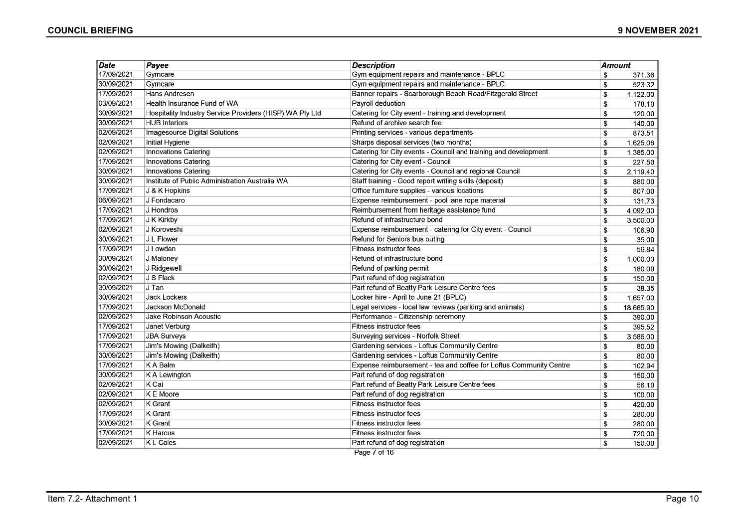| $\overline{Date}$ | Payee                                                    | <b>Description</b>                                                 | Amount |           |
|-------------------|----------------------------------------------------------|--------------------------------------------------------------------|--------|-----------|
| 17/09/2021        | Gymcare                                                  | Gym equipment repairs and maintenance - BPLC                       | \$     | 371.36    |
| 30/09/2021        | Gymcare                                                  | Gym equipment repairs and maintenance - BPLC                       | \$     | 523.32    |
| 17/09/2021        | Hans Andresen                                            | Banner repairs - Scarborough Beach Road/Fitzgerald Street          | \$     | 1,122.00  |
| 03/09/2021        | Health Insurance Fund of WA                              | Payroll deduction                                                  | \$     | 178.10    |
| 30/09/2021        | Hospitality Industry Service Providers (HISP) WA Pty Ltd | Catering for City event - training and development                 | \$     | 120.00    |
| 30/09/2021        | <b>HUB Interiors</b>                                     | Refund of archive search fee                                       | \$     | 140.00    |
| 02/09/2021        | Imagesource Digital Solutions                            | Printing services - various departments                            | \$     | 873.51    |
| 02/09/2021        | Initial Hygiene                                          | Sharps disposal services (two months)                              | \$     | 1,625.08  |
| 02/09/2021        | <b>Innovations Catering</b>                              | Catering for City events - Council and training and development    | \$     | 1,385.00  |
| 17/09/2021        | Innovations Catering                                     | Catering for City event - Council                                  | \$     | 227.50    |
| 30/09/2021        | Innovations Catering                                     | Catering for City events - Council and regional Council            | \$     | 2,119.40  |
| 30/09/2021        | Institute of Public Administration Australia WA          | Staff training - Good report writing skills (deposit)              | \$     | 880.00    |
| 17/09/2021        | J & K Hopkins                                            | Office furniture supplies - various locations                      | \$     | 807.00    |
| 06/09/2021        | J Fondacaro                                              | Expense reimbursement - pool lane rope material                    | \$     | 131.73    |
| 17/09/2021        | J Hondros                                                | Reimbursement from heritage assistance fund                        | \$     | 4,092.00  |
| 17/09/2021        | J K Kirkby                                               | Refund of infrastructure bond                                      | \$     | 3,500.00  |
| 02/09/2021        | J Koroveshi                                              | Expense reimbursement - catering for City event - Council          | \$     | 106.90    |
| 30/09/2021        | J L Flower                                               | Refund for Seniors bus outing                                      | \$     | 35.00     |
| 17/09/2021        | J Lowden                                                 | Fitness instructor fees                                            | \$     | 56.84     |
| 30/09/2021        | J Maloney                                                | Refund of infrastructure bond                                      | \$     | 1,000.00  |
| 30/09/2021        | J Ridgewell                                              | Refund of parking permit                                           | \$     | 180.00    |
| 02/09/2021        | J S Flack                                                | Part refund of dog registration                                    | \$     | 150.00    |
| 30/09/2021        | J Tan                                                    | Part refund of Beatty Park Leisure Centre fees                     | \$     | 38.35     |
| 30/09/2021        | <b>Jack Lockers</b>                                      | Locker hire - April to June 21 (BPLC)                              | \$     | 1,657.00  |
| 17/09/2021        | Jackson McDonald                                         | Legal services - local law reviews (parking and animals)           | \$     | 18,665.90 |
| 02/09/2021        | Jake Robinson Acoustic                                   | Performance - Citizenship ceremony                                 | \$     | 390.00    |
| 17/09/2021        | Janet Verburg                                            | <b>Fitness instructor fees</b>                                     | \$     | 395.52    |
| 17/09/2021        | <b>JBA Surveys</b>                                       | Surveying services - Norfolk Street                                | \$     | 3,586.00  |
| 17/09/2021        | Jim's Mowing (Dalkeith)                                  | Gardening services - Loftus Community Centre                       | \$     | 80.00     |
| 30/09/2021        | Jim's Mowing (Dalkeith)                                  | Gardening services - Loftus Community Centre                       | \$     | 80.00     |
| 17/09/2021        | K A Balm                                                 | Expense reimbursement - tea and coffee for Loftus Community Centre | \$     | 102.94    |
| 30/09/2021        | K A Lewington                                            | Part refund of dog registration                                    | \$     | 150.00    |
| 02/09/2021        | $K$ Cai                                                  | Part refund of Beatty Park Leisure Centre fees                     | \$     | 56.10     |
| 02/09/2021        | IK E Moore                                               | Part refund of dog registration                                    | \$     | 100.00    |
| 02/09/2021        | K Grant                                                  | Fitness instructor fees                                            | \$     | 420.00    |
| 17/09/2021        | K Grant                                                  | Fitness instructor fees                                            | \$     | 280.00    |
| 30/09/2021        | K Grant                                                  | Fitness instructor fees                                            | \$     | 280.00    |
| 17/09/2021        | K Harcus                                                 | Fitness instructor fees                                            | \$     | 720.00    |
| 02/09/2021        | K L Coles                                                | Part refund of dog registration                                    | \$     | 150.00    |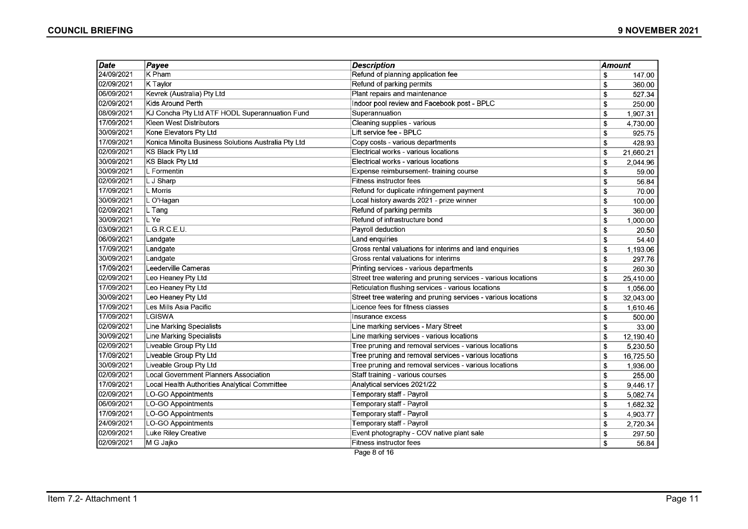| Date       | Payee                                               | <b>Description</b>                                            | Amount |           |
|------------|-----------------------------------------------------|---------------------------------------------------------------|--------|-----------|
| 24/09/2021 | K Pham                                              | Refund of planning application fee                            | \$     | 147.00    |
| 02/09/2021 | K Taylor                                            | Refund of parking permits                                     | \$     | 360.00    |
| 06/09/2021 | Kevrek (Australia) Pty Ltd                          | Plant repairs and maintenance                                 | \$     | 527.34    |
| 02/09/2021 | Kids Around Perth                                   | Indoor pool review and Facebook post - BPLC                   | \$     | 250.00    |
| 08/09/2021 | KJ Concha Pty Ltd ATF HODL Superannuation Fund      | Superannuation                                                | \$     | 1,907.31  |
| 17/09/2021 | Kleen West Distributors                             | Cleaning supplies - various                                   | \$     | 4,730.00  |
| 30/09/2021 | Kone Elevators Pty Ltd                              | Lift service fee - BPLC                                       | \$     | 925.75    |
| 17/09/2021 | Konica Minolta Business Solutions Australia Pty Ltd | Copy costs - various departments                              | \$     | 428.93    |
| 02/09/2021 | <b>KS Black Pty Ltd</b>                             | Electrical works - various locations                          | \$     | 21,660.21 |
| 30/09/2021 | KS Black Pty Ltd                                    | Electrical works - various locations                          | \$     | 2,044.96  |
| 30/09/2021 | L Formentin                                         | Expense reimbursement- training course                        | \$     | 59.00     |
| 02/09/2021 | L J Sharp                                           | Fitness instructor fees                                       | \$     | 56.84     |
| 17/09/2021 | L Morris                                            | Refund for duplicate infringement payment                     | \$     | 70.00     |
| 30/09/2021 | L O'Hagan                                           | Local history awards 2021 - prize winner                      | \$     | 100.00    |
| 02/09/2021 | L Tang                                              | Refund of parking permits                                     | \$     | 360.00    |
| 30/09/2021 | L Ye                                                | Refund of infrastructure bond                                 | \$     | 1,000.00  |
| 03/09/2021 | G.R.C.E.U.                                          | Payroll deduction                                             | \$     | 20.50     |
| 06/09/2021 | Landgate                                            | Land enquiries                                                | \$     | 54.40     |
| 17/09/2021 | Landgate                                            | Gross rental valuations for interims and land enquiries       | \$     | 1,193.06  |
| 30/09/2021 | Landgate                                            | Gross rental valuations for interims                          | \$     | 297.76    |
| 17/09/2021 | Leederville Cameras                                 | Printing services - various departments                       | \$     | 260.30    |
| 02/09/2021 | Leo Heaney Pty Ltd                                  | Street tree watering and pruning services - various locations | \$     | 25,410.00 |
| 17/09/2021 | Leo Heaney Pty Ltd                                  | Reticulation flushing services - various locations            | \$     | 1,056.00  |
| 30/09/2021 | Leo Heaney Pty Ltd                                  | Street tree watering and pruning services - various locations | \$     | 32,043.00 |
| 17/09/2021 | Les Mills Asia Pacific                              | Licence fees for fitness classes                              | \$     | 1,610.46  |
| 17/09/2021 | <b>LGISWA</b>                                       | Insurance excess                                              | \$     | 500.00    |
| 02/09/2021 | Line Marking Specialists                            | Line marking services - Mary Street                           | \$     | 33.00     |
| 30/09/2021 | Line Marking Specialists                            | Line marking services - various locations                     | \$     | 12,190.40 |
| 02/09/2021 | Liveable Group Pty Ltd                              | Tree pruning and removal services - various locations         | \$     | 5,230.50  |
| 17/09/2021 | Liveable Group Pty Ltd                              | Tree pruning and removal services - various locations         | \$     | 16,725.50 |
| 30/09/2021 | Liveable Group Pty Ltd                              | Tree pruning and removal services - various locations         | \$     | 1,936.00  |
| 02/09/2021 | Local Government Planners Association               | Staff training - various courses                              | \$     | 255.00    |
| 17/09/2021 | Local Health Authorities Analytical Committee       | Analytical services 2021/22                                   | \$     | 9,446.17  |
| 02/09/2021 | LO-GO Appointments                                  | Temporary staff - Payroll                                     | \$     | 5,082.74  |
| 06/09/2021 | LO-GO Appointments                                  | Temporary staff - Payroll                                     | \$     | 1,682.32  |
| 17/09/2021 | <b>LO-GO Appointments</b>                           | Temporary staff - Payroll                                     | \$     | 4,903.77  |
| 24/09/2021 | LO-GO Appointments                                  | Temporary staff - Payroll                                     | \$     | 2,720.34  |
| 02/09/2021 | Luke Riley Creative                                 | Event photography - COV native plant sale                     | \$     | 297.50    |
| 02/09/2021 | M G Jajko                                           | Fitness instructor fees                                       | S      | 56.84     |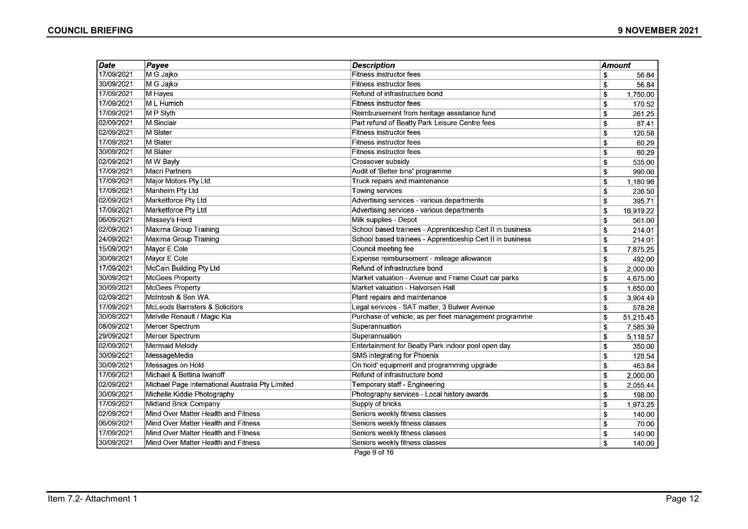| Date       | Payee                                            | <b>Description</b>                                         | Amount |           |
|------------|--------------------------------------------------|------------------------------------------------------------|--------|-----------|
| 17/09/2021 | M G Jajko                                        | Fitness instructor fees                                    | \$     | 56.84     |
| 30/09/2021 | M G Jajko                                        | Fitness instructor fees                                    | \$     | 56.84     |
| 17/09/2021 | M Hayes                                          | Refund of infrastructure bond                              | \$     | 1,750.00  |
| 17/09/2021 | M L Humich                                       | Fitness instructor fees                                    | \$     | 170.52    |
| 17/09/2021 | M P Slyth                                        | Reimbursement from heritage assistance fund                | \$     | 261.25    |
| 02/09/2021 | M Sinclair                                       | Part refund of Beatty Park Leisure Centre fees             | \$     | 87.41     |
| 02/09/2021 | M Slater                                         | <b>Fitness instructor fees</b>                             | \$     | 120.58    |
| 17/09/2021 | M Slater                                         | Fitness instructor fees                                    | \$     | 60.29     |
| 30/09/2021 | <b>M</b> Slater                                  | Fitness instructor fees                                    | \$     | 60.29     |
| 02/09/2021 | M W Bayly                                        | Crossover subsidy                                          | \$     | 535.00    |
| 17/09/2021 | <b>Macri Partners</b>                            | Audit of 'Better bins' programme                           | \$     | 990.00    |
| 17/09/2021 | Major Motors Pty Ltd                             | Truck repairs and maintenance                              | \$     | 1,180.98  |
| 17/09/2021 | Manheim Pty Ltd                                  | Towing services                                            | \$     | 236.50    |
| 02/09/2021 | Marketforce Pty Ltd                              | Advertising services - various departments                 | \$     | 395.71    |
| 17/09/2021 | Marketforce Pty Ltd                              | Advertising services - various departments                 | \$     | 16,919.22 |
| 06/09/2021 | Massey's Herd                                    | Milk supplies - Depot                                      | \$     | 561.00    |
| 02/09/2021 | Maxima Group Training                            | School based trainees - Apprenticeship Cert II in business | \$     | 214.01    |
| 24/09/2021 | Maxima Group Training                            | School based trainees - Apprenticeship Cert II in business | \$     | 214.01    |
| 15/09/2021 | Mayor E Cole                                     | Council meeting fee                                        | \$     | 7,875.25  |
| 30/09/2021 | Mayor E Cole                                     | Expense reimbursement - mileage allowance                  | \$     | 492.00    |
| 17/09/2021 | McCain Building Pty Ltd                          | Refund of infrastructure bond                              | \$     | 2,000.00  |
| 30/09/2021 | McGees Property                                  | Market valuation - Avenue and Frame Court car parks        | \$     | 4,675.00  |
| 30/09/2021 | <b>McGees Property</b>                           | Market valuation - Halvorsen Hall                          | \$     | 1,650.00  |
| 02/09/2021 | McIntosh & Son WA                                | Plant repairs and maintenance                              | \$     | 3,904.49  |
| 17/09/2021 | McLeods Barristers & Solicitors                  | Legal services - SAT matter, 3 Bulwer Avenue               | \$     | 578.28    |
| 30/09/2021 | Melville Renault / Magic Kia                     | Purchase of vehicle, as per fleet management programme     | \$     | 51,215.45 |
| 08/09/2021 | Mercer Spectrum                                  | Superannuation                                             | \$     | 7,585.39  |
| 29/09/2021 | Mercer Spectrum                                  | Superannuation                                             | \$     | 5,118.57  |
| 02/09/2021 | <b>Mermaid Melody</b>                            | Entertainment for Beatty Park indoor pool open day         | \$     | 350.00    |
| 30/09/2021 | MessageMedia                                     | SMS integrating for Phoenix                                | \$     | 128.54    |
| 30/09/2021 | Messages on Hold                                 | On hold' equipment and programming upgrade                 | \$     | 463.84    |
| 17/09/2021 | Michael & Bettina Iwanoff                        | Refund of infrastructure bond                              | \$     | 2,000.00  |
| 02/09/2021 | Michael Page International Australia Pty Limited | Temporary staff - Engineering                              | \$     | 2,055.44  |
| 30/09/2021 | Michelle Kiddie Photography                      | Photography services - Local history awards                | \$     | 198.00    |
| 17/09/2021 | Midland Brick Company                            | Supply of bricks                                           | \$     | 1,973.25  |
| 02/09/2021 | Mind Over Matter Health and Fitness              | Seniors weekly fitness classes                             | \$     | 140.00    |
| 06/09/2021 | Mind Over Matter Health and Fitness              | Seniors weekly fitness classes                             | \$     | 70.00     |
| 17/09/2021 | Mind Over Matter Health and Fitness              | Seniors weekly fitness classes                             | \$     | 140.00    |
| 30/09/2021 | Mind Over Matter Health and Fitness              | Seniors weekly fitness classes                             | \$     | 140.00    |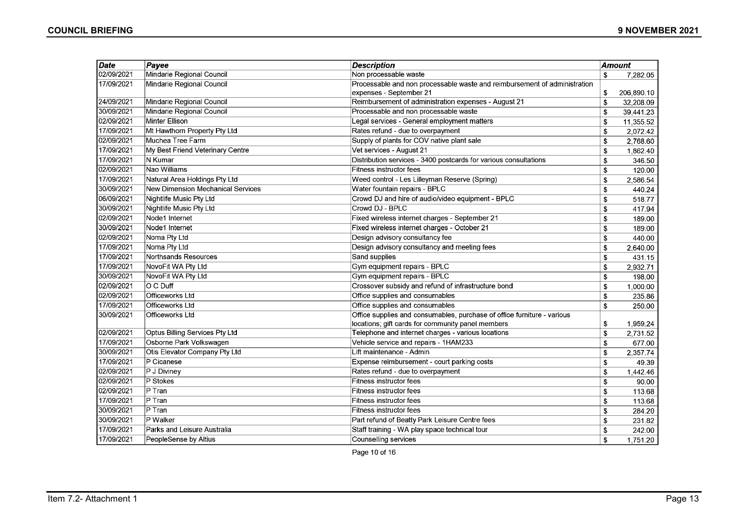| Date       | Payee                             | <b>Description</b>                                                        | Amount       |            |
|------------|-----------------------------------|---------------------------------------------------------------------------|--------------|------------|
| 02/09/2021 | Mindarie Regional Council         | Non processable waste                                                     | \$           | 7,282.05   |
| 17/09/2021 | Mindarie Regional Council         | Processable and non processable waste and reimbursement of administration |              |            |
|            |                                   | expenses - September 21                                                   | \$           | 206,890.10 |
| 24/09/2021 | Mindarie Regional Council         | Reimbursement of administration expenses - August 21                      | \$           | 32,208.09  |
| 30/09/2021 | Mindarie Regional Council         | Processable and non processable waste                                     | \$           | 39.441.23  |
| 02/09/2021 | <b>Minter Ellison</b>             | Legal services - General employment matters                               | \$           | 11,355.52  |
| 17/09/2021 | Mt Hawthorn Property Pty Ltd      | Rates refund - due to overpayment                                         | \$           | 2,072.42   |
| 02/09/2021 | Muchea Tree Farm                  | Supply of plants for COV native plant sale                                | \$           | 2,768.60   |
| 17/09/2021 | My Best Friend Veterinary Centre  | Vet services - August 21                                                  | \$           | 1,862.40   |
| 17/09/2021 | N Kumar                           | Distribution services - 3400 postcards for various consultations          | \$           | 346.50     |
| 02/09/2021 | Nao Williams                      | <b>Fitness instructor fees</b>                                            | \$           | 120.00     |
| 17/09/2021 | Natural Area Holdings Pty Ltd     | Weed control - Les Lilleyman Reserve (Spring)                             | \$           | 2,586.54   |
| 30/09/2021 | New Dimension Mechanical Services | Water fountain repairs - BPLC                                             | \$           | 440.24     |
| 06/09/2021 | Nightlife Music Pty Ltd           | Crowd DJ and hire of audio/video equipment - BPLC                         | \$           | 518.77     |
| 30/09/2021 | Nightlife Music Pty Ltd           | Crowd DJ - BPLC                                                           | \$           | 417.94     |
| 02/09/2021 | Node1 Internet                    | Fixed wireless internet charges - September 21                            | \$           | 189.00     |
| 30/09/2021 | Node1 Internet                    | Fixed wireless internet charges - October 21                              | $\mathbf{s}$ | 189.00     |
| 02/09/2021 | Noma Pty Ltd                      | Design advisory consultancy fee                                           | \$           | 440.00     |
| 17/09/2021 | Noma Pty Ltd                      | Design advisory consultancy and meeting fees                              | \$           | 2,640.00   |
| 17/09/2021 | Northsands Resources              | Sand supplies                                                             | \$           | 431.15     |
| 17/09/2021 | NovoFit WA Pty Ltd                | Gym equipment repairs - BPLC                                              | \$           | 2,932.71   |
| 30/09/2021 | NovoFit WA Pty Ltd                | Gym equipment repairs - BPLC                                              | \$           | 198.00     |
| 02/09/2021 | O C Duff                          | Crossover subsidy and refund of infrastructure bond                       | \$           | 1,000.00   |
| 02/09/2021 | Officeworks Ltd                   | Office supplies and consumables                                           | \$           | 235.86     |
| 17/09/2021 | Officeworks Ltd                   | Office supplies and consumables                                           | \$           | 250.00     |
| 30/09/2021 | Officeworks Ltd                   | Office supplies and consumables, purchase of office furniture - various   |              |            |
|            |                                   | locations; gift cards for community panel members                         | \$           | 1,959.24   |
| 02/09/2021 | Optus Billing Services Pty Ltd    | Telephone and internet charges - various locations                        | \$           | 2,731.52   |
| 17/09/2021 | Osborne Park Volkswagen           | Vehicle service and repairs - 1HAM233                                     | \$           | 677.00     |
| 30/09/2021 | Otis Elevator Company Pty Ltd     | Lift maintenance - Admin                                                  | \$           | 2,357.74   |
| 17/09/2021 | P Cicanese                        | Expense reimbursement - court parking costs                               | \$           | 49.39      |
| 02/09/2021 | P J Diviney                       | Rates refund - due to overpayment                                         | \$           | 1,442.46   |
| 02/09/2021 | P Stokes                          | Fitness instructor fees                                                   | \$           | 90.00      |
| 02/09/2021 | $P$ Tran                          | Fitness instructor fees                                                   | \$           | 113.68     |
| 17/09/2021 | $P$ Tran                          | Fitness instructor fees                                                   | \$           | 113.68     |
| 30/09/2021 | P Tran                            | Fitness instructor fees                                                   | \$           | 284.20     |
| 30/09/2021 | P Walker                          | Part refund of Beatty Park Leisure Centre fees                            | \$           | 231.82     |
| 17/09/2021 | Parks and Leisure Australia       | Staff training - WA play space technical tour                             | \$           | 242.00     |
| 17/09/2021 | PeopleSense by Altius             | Counselling services                                                      | $\mathbf{s}$ | 1,751.20   |

Page 10 of 16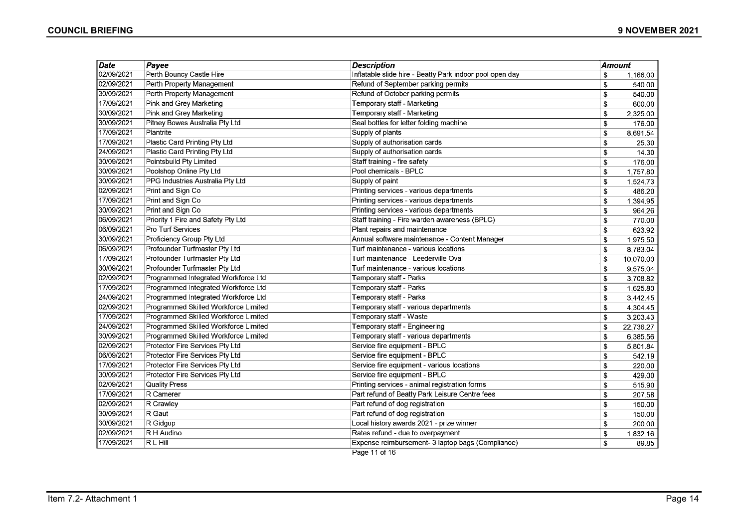| <b>Date</b> | Payee                                | <b>Description</b>                                       | Amount |           |
|-------------|--------------------------------------|----------------------------------------------------------|--------|-----------|
| 02/09/2021  | Perth Bouncy Castle Hire             | Inflatable slide hire - Beatty Park indoor pool open day | \$     | 1,166.00  |
| 02/09/2021  | Perth Property Management            | Refund of September parking permits                      | \$     | 540.00    |
| 30/09/2021  | Perth Property Management            | Refund of October parking permits                        | \$     | 540.00    |
| 17/09/2021  | Pink and Grey Marketing              | Temporary staff - Marketing                              | \$     | 600.00    |
| 30/09/2021  | Pink and Grey Marketing              | Temporary staff - Marketing                              | \$     | 2,325.00  |
| 30/09/2021  | Pitney Bowes Australia Pty Ltd       | Seal bottles for letter folding machine                  | \$     | 176.00    |
| 17/09/2021  | Plantrite                            | Supply of plants                                         | \$     | 8,691.54  |
| 17/09/2021  | Plastic Card Printing Pty Ltd        | Supply of authorisation cards                            | \$     | 25.30     |
| 24/09/2021  | Plastic Card Printing Pty Ltd        | Supply of authorisation cards                            | \$     | 14.30     |
| 30/09/2021  | Pointsbuild Pty Limited              | Staff training - fire safety                             | \$     | 176.00    |
| 30/09/2021  | Poolshop Online Pty Ltd              | Pool chemicals - BPLC                                    | \$     | 1,757.80  |
| 30/09/2021  | PPG Industries Australia Pty Ltd     | Supply of paint                                          | \$     | 1,524.73  |
| 02/09/2021  | Print and Sign Co                    | Printing services - various departments                  | \$     | 486.20    |
| 17/09/2021  | Print and Sign Co                    | Printing services - various departments                  | \$     | 1,394.95  |
| 30/09/2021  | Print and Sign Co                    | Printing services - various departments                  | \$     | 964.26    |
| 06/09/2021  | Priority 1 Fire and Safety Pty Ltd   | Staff training - Fire warden awareness (BPLC)            | \$     | 770.00    |
| 06/09/2021  | Pro Turf Services                    | Plant repairs and maintenance                            | \$     | 623.92    |
| 30/09/2021  | Proficiency Group Pty Ltd            | Annual software maintenance - Content Manager            | \$     | 1,975.50  |
| 06/09/2021  | Profounder Turfmaster Pty Ltd        | Turf maintenance - various locations                     | \$     | 8,783.04  |
| 17/09/2021  | Profounder Turfmaster Pty Ltd        | Turf maintenance - Leederville Oval                      | \$     | 10,070.00 |
| 30/09/2021  | Profounder Turfmaster Pty Ltd        | Turf maintenance - various locations                     | \$     | 9,575.04  |
| 02/09/2021  | Programmed Integrated Workforce Ltd  | Temporary staff - Parks                                  | \$     | 3,708.82  |
| 17/09/2021  | Programmed Integrated Workforce Ltd  | Temporary staff - Parks                                  | \$     | 1,625.80  |
| 24/09/2021  | Programmed Integrated Workforce Ltd  | Temporary staff - Parks                                  | \$     | 3,442.45  |
| 02/09/2021  | Programmed Skilled Workforce Limited | Temporary staff - various departments                    | \$     | 4,304.45  |
| 17/09/2021  | Programmed Skilled Workforce Limited | Temporary staff - Waste                                  | \$     | 3,203.43  |
| 24/09/2021  | Programmed Skilled Workforce Limited | Temporary staff - Engineering                            | \$     | 22,736.27 |
| 30/09/2021  | Programmed Skilled Workforce Limited | Temporary staff - various departments                    | \$     | 6,385.56  |
| 02/09/2021  | Protector Fire Services Pty Ltd      | Service fire equipment - BPLC                            | \$     | 5,801.84  |
| 06/09/2021  | Protector Fire Services Pty Ltd      | Service fire equipment - BPLC                            | \$     | 542.19    |
| 17/09/2021  | Protector Fire Services Pty Ltd      | Service fire equipment - various locations               | \$     | 220.00    |
| 30/09/2021  | Protector Fire Services Pty Ltd      | Service fire equipment - BPLC                            | \$     | 429.00    |
| 02/09/2021  | Quality Press                        | Printing services - animal registration forms            | \$     | 515.90    |
| 17/09/2021  | R Camerer                            | Part refund of Beatty Park Leisure Centre fees           | \$     | 207.58    |
| 02/09/2021  | R Crawley                            | Part refund of dog registration                          | \$     | 150.00    |
| 30/09/2021  | $ R$ Gaut                            | Part refund of dog registration                          | \$     | 150.00    |
| 30/09/2021  | R Gidgup                             | Local history awards 2021 - prize winner                 | \$     | 200.00    |
| 02/09/2021  | R H Audino                           | Rates refund - due to overpayment                        | \$     | 1,832.16  |
| 17/09/2021  | <b>RLHill</b>                        | Expense reimbursement- 3 laptop bags (Compliance)        | \$     | 89.85     |
|             |                                      | Page 11 of 16                                            |        |           |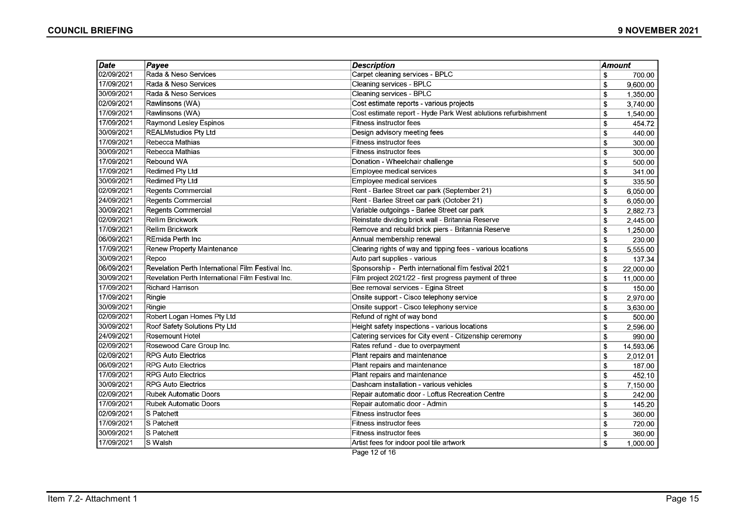| <b>Date</b> | $P$ ayee                                          | <b>Description</b>                                            | <b>Amount</b> |           |
|-------------|---------------------------------------------------|---------------------------------------------------------------|---------------|-----------|
| 02/09/2021  | Rada & Neso Services                              | Carpet cleaning services - BPLC                               | \$            | 700.00    |
| 17/09/2021  | Rada & Neso Services                              | Cleaning services - BPLC                                      | \$            | 9,600.00  |
| 30/09/2021  | Rada & Neso Services                              | <b>Cleaning services - BPLC</b>                               | \$            | 1,350.00  |
| 02/09/2021  | Rawlinsons (WA)                                   | Cost estimate reports - various projects                      | \$            | 3,740.00  |
| 17/09/2021  | Rawlinsons (WA)                                   | Cost estimate report - Hyde Park West ablutions refurbishment | \$            | 1,540.00  |
| 17/09/2021  | Raymond Lesley Espinos                            | Fitness instructor fees                                       | \$            | 454.72    |
| 30/09/2021  | REALMstudios Pty Ltd                              | Design advisory meeting fees                                  | \$            | 440.00    |
| 17/09/2021  | Rebecca Mathias                                   | Fitness instructor fees                                       | \$            | 300.00    |
| 30/09/2021  | Rebecca Mathias                                   | <b>Fitness instructor fees</b>                                | \$            | 300.00    |
| 17/09/2021  | Rebound WA                                        | Donation - Wheelchair challenge                               | \$            | 500.00    |
| 17/09/2021  | Redimed Pty Ltd                                   | Employee medical services                                     | \$            | 341.00    |
| 30/09/2021  | <b>Redimed Pty Ltd</b>                            | Employee medical services                                     | \$            | 335.50    |
| 02/09/2021  | Regents Commercial                                | Rent - Barlee Street car park (September 21)                  | \$            | 6,050.00  |
| 24/09/2021  | Regents Commercial                                | Rent - Barlee Street car park (October 21)                    | \$            | 6,050.00  |
| 30/09/2021  | Regents Commercial                                | Variable outgoings - Barlee Street car park                   | \$            | 2,882.73  |
| 02/09/2021  | Rellim Brickwork                                  | Reinstate dividing brick wall - Britannia Reserve             | \$            | 2,445.00  |
| 17/09/2021  | Rellim Brickwork                                  | Remove and rebuild brick piers - Britannia Reserve            | \$            | 1,250.00  |
| 06/09/2021  | ∣REmida Perth Inc                                 | Annual membership renewal                                     | \$            | 230.00    |
| 17/09/2021  | Renew Property Maintenance                        | Clearing rights of way and tipping fees - various locations   | \$            | 5,555.00  |
| 30/09/2021  | Repco                                             | Auto part supplies - various                                  | \$            | 137.34    |
| 06/09/2021  | Revelation Perth International Film Festival Inc. | Sponsorship - Perth international film festival 2021          | \$            | 22,000.00 |
| 30/09/2021  | Revelation Perth International Film Festival Inc. | Film project 2021/22 - first progress payment of three        | \$            | 11,000.00 |
| 17/09/2021  | Richard Harrison                                  | Bee removal services - Egina Street                           | \$            | 150.00    |
| 17/09/2021  | Ringie                                            | Onsite support - Cisco telephony service                      | \$            | 2,970.00  |
| 30/09/2021  | Ringie                                            | Onsite support - Cisco telephony service                      | \$            | 3,630.00  |
| 02/09/2021  | Robert Logan Homes Pty Ltd                        | Refund of right of way bond                                   | \$            | 500.00    |
| 30/09/2021  | Roof Safety Solutions Pty Ltd                     | Height safety inspections - various locations                 | \$            | 2,596.00  |
| 24/09/2021  | Rosemount Hotel                                   | Catering services for City event - Citizenship ceremony       | \$            | 990.00    |
| 02/09/2021  | Rosewood Care Group Inc.                          | Rates refund - due to overpayment                             | \$            | 14,593.06 |
| 02/09/2021  | <b>RPG Auto Electrics</b>                         | Plant repairs and maintenance                                 | \$            | 2,012.01  |
| 06/09/2021  | <b>RPG Auto Electrics</b>                         | Plant repairs and maintenance                                 | \$            | 187.00    |
| 17/09/2021  | <b>RPG Auto Electrics</b>                         | Plant repairs and maintenance                                 | \$            | 452.10    |
| 30/09/2021  | <b>RPG Auto Electrics</b>                         | Dashcam installation - various vehicles                       | \$            | 7,150.00  |
| 02/09/2021  | <b>Rubek Automatic Doors</b>                      | Repair automatic door - Loftus Recreation Centre              | \$            | 242.00    |
| 17/09/2021  | Rubek Automatic Doors                             | Repair automatic door - Admin                                 | \$            | 145.20    |
| 02/09/2021  | S Patchett                                        | Fitness instructor fees                                       | \$            | 360.00    |
| 17/09/2021  | S Patchett                                        | <b>Fitness instructor fees</b>                                | \$            | 720.00    |
| 30/09/2021  | S Patchett                                        | Fitness instructor fees                                       | \$            | 360.00    |
| 17/09/2021  | S Walsh                                           | Artist fees for indoor pool tile artwork                      | \$            | 1,000.00  |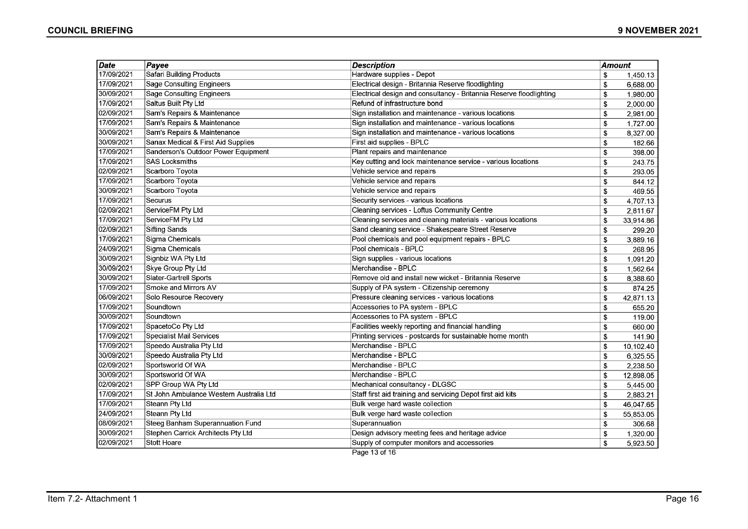| <b>Date</b> | Payee                                   | <b>Description</b>                                                  | Amount |           |
|-------------|-----------------------------------------|---------------------------------------------------------------------|--------|-----------|
| 17/09/2021  | Safari Building Products                | Hardware supplies - Depot                                           | \$     | 1,450.13  |
| 17/09/2021  | <b>Sage Consulting Engineers</b>        | Electrical design - Britannia Reserve floodlighting                 | \$     | 6,688.00  |
| 30/09/2021  | <b>Sage Consulting Engineers</b>        | Electrical design and consultancy - Britannia Reserve floodlighting | \$     | 1,980.00  |
| 17/09/2021  | Saltus Built Pty Ltd                    | Refund of infrastructure bond                                       | \$     | 2,000.00  |
| 02/09/2021  | Sam's Repairs & Maintenance             | Sign installation and maintenance - various locations               | \$     | 2,981.00  |
| 17/09/2021  | Sam's Repairs & Maintenance             | Sign installation and maintenance - various locations               | \$     | 1.727.00  |
| 30/09/2021  | Sam's Repairs & Maintenance             | Sign installation and maintenance - various locations               | \$     | 8,327.00  |
| 30/09/2021  | Sanax Medical & First Aid Supplies      | First aid supplies - BPLC                                           | \$     | 182.66    |
| 17/09/2021  | Sanderson's Outdoor Power Equipment     | Plant repairs and maintenance                                       | \$     | 398.00    |
| 17/09/2021  | <b>SAS Locksmiths</b>                   | Key cutting and lock maintenance service - various locations        | \$     | 243.75    |
| 02/09/2021  | Scarboro Toyota                         | Vehicle service and repairs                                         | \$     | 293.05    |
| 17/09/2021  | Scarboro Toyota                         | Vehicle service and repairs                                         | \$     | 844.12    |
| 30/09/2021  | Scarboro Toyota                         | Vehicle service and repairs                                         | \$     | 469.55    |
| 17/09/2021  | Securus                                 | Security services - various locations                               | \$     | 4,707.13  |
| 02/09/2021  | ServiceFM Pty Ltd                       | Cleaning services - Loftus Community Centre                         | \$     | 2,811.67  |
| 17/09/2021  | ServiceFM Pty Ltd                       | Cleaning services and cleaning materials - various locations        | \$     | 33,914.86 |
| 02/09/2021  | <b>Sifting Sands</b>                    | Sand cleaning service - Shakespeare Street Reserve                  | \$     | 299.20    |
| 17/09/2021  | Sigma Chemicals                         | Pool chemicals and pool equipment repairs - BPLC                    | \$     | 3,889.16  |
| 24/09/2021  | Sigma Chemicals                         | Pool chemicals - BPLC                                               | \$     | 268.95    |
| 30/09/2021  | Signbiz WA Pty Ltd                      | Sign supplies - various locations                                   | \$     | 1,091.20  |
| 30/09/2021  | Skye Group Pty Ltd                      | Merchandise - BPLC                                                  | \$     | 1,562.64  |
| 30/09/2021  | Slater-Gartrell Sports                  | Remove old and install new wicket - Britannia Reserve               | \$     | 8,388.60  |
| 17/09/2021  | Smoke and Mirrors AV                    | Supply of PA system - Citizenship ceremony                          | \$     | 874.25    |
| 06/09/2021  | Solo Resource Recovery                  | Pressure cleaning services - various locations                      | \$     | 42,871.13 |
| 17/09/2021  | Soundtown                               | Accessories to PA system - BPLC                                     | \$     | 655.20    |
| 30/09/2021  | Soundtown                               | Accessories to PA system - BPLC                                     | \$     | 119.00    |
| 17/09/2021  | SpacetoCo Pty Ltd                       | Facilities weekly reporting and financial handling                  | \$     | 660.00    |
| 17/09/2021  | Specialist Mail Services                | Printing services - postcards for sustainable home month            | \$     | 141.90    |
| 17/09/2021  | Speedo Australia Pty Ltd                | Merchandise - BPLC                                                  | \$     | 10,102.40 |
| 30/09/2021  | Speedo Australia Pty Ltd                | Merchandise - BPLC                                                  | \$     | 6,325.55  |
| 02/09/2021  | Sportsworld Of WA                       | Merchandise - BPLC                                                  | \$     | 2,238.50  |
| 30/09/2021  | Sportsworld Of WA                       | Merchandise - BPLC                                                  | \$     | 12,898.05 |
| 02/09/2021  | SPP Group WA Pty Ltd                    | Mechanical consultancy - DLGSC                                      | \$     | 5,445.00  |
| 17/09/2021  | St John Ambulance Western Australia Ltd | Staff first aid training and servicing Depot first aid kits         | \$     | 2,883.21  |
| 17/09/2021  | Steann Pty Ltd                          | Bulk verge hard waste collection                                    | \$     | 46,047.65 |
| 24/09/2021  | <b>Steann Pty Ltd</b>                   | Bulk verge hard waste collection                                    | \$     | 55,853.05 |
| 08/09/2021  | Steeg Banham Superannuation Fund        | Superannuation                                                      | \$     | 306.68    |
| 30/09/2021  | Stephen Carrick Architects Pty Ltd      | Design advisory meeting fees and heritage advice                    | \$     | 1,320.00  |
| 02/09/2021  | <b>Stott Hoare</b>                      | Supply of computer monitors and accessories                         | \$     | 5,923.50  |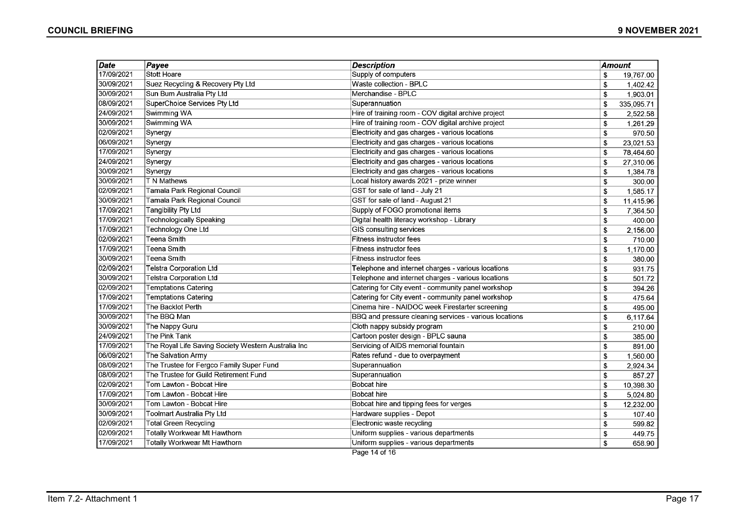| <b>Date</b> | Payee                                               | <b>Description</b>                                     | <b>Amount</b>             |            |
|-------------|-----------------------------------------------------|--------------------------------------------------------|---------------------------|------------|
| 17/09/2021  | <b>Stott Hoare</b>                                  | Supply of computers                                    | \$                        | 19,767.00  |
| 30/09/2021  | Suez Recycling & Recovery Pty Ltd                   | Waste collection - BPLC                                | \$                        | 1,402.42   |
| 30/09/2021  | Sun Bum Australia Pty Ltd                           | Merchandise - BPLC                                     | \$                        | 1,903.01   |
| 08/09/2021  | SuperChoice Services Pty Ltd                        | Superannuation                                         | \$                        | 335,095.71 |
| 24/09/2021  | Swimming WA                                         | Hire of training room - COV digital archive project    | \$                        | 2,522.58   |
| 30/09/2021  | Swimming WA                                         | Hire of training room - COV digital archive project    | \$                        | 1.261.29   |
| 02/09/2021  | Synergy                                             | Electricity and gas charges - various locations        | \$                        | 970.50     |
| 06/09/2021  | Synergy                                             | Electricity and gas charges - various locations        | \$                        | 23,021.53  |
| 17/09/2021  | Synergy                                             | Electricity and gas charges - various locations        | \$                        | 78,464.60  |
| 24/09/2021  | Synergy                                             | Electricity and gas charges - various locations        | \$                        | 27,310.06  |
| 30/09/2021  | Synergy                                             | Electricity and gas charges - various locations        | \$                        | 1,384.78   |
| 30/09/2021  | T N Mathews                                         | Local history awards 2021 - prize winner               | \$                        | 300.00     |
| 02/09/2021  | Tamala Park Regional Council                        | GST for sale of land - July 21                         | \$                        | 1,585.17   |
| 30/09/2021  | Tamala Park Regional Council                        | GST for sale of land - August 21                       | $\boldsymbol{\mathsf{s}}$ | 11,415.96  |
| 17/09/2021  | <b>Tangibility Pty Ltd</b>                          | Supply of FOGO promotional items                       | \$                        | 7,364.50   |
| 17/09/2021  | <b>Technologically Speaking</b>                     | Digital health literacy workshop - Library             | \$                        | 400.00     |
| 17/09/2021  | Technology One Ltd                                  | GIS consulting services                                | \$                        | 2,156.00   |
| 02/09/2021  | Teena Smith                                         | <b>Fitness instructor fees</b>                         | \$                        | 710.00     |
| 17/09/2021  | Teena Smith                                         | Fitness instructor fees                                | \$                        | 1,170.00   |
| 30/09/2021  | Teena Smith                                         | Fitness instructor fees                                | \$                        | 380.00     |
| 02/09/2021  | <b>Telstra Corporation Ltd</b>                      | Telephone and internet charges - various locations     | \$                        | 931.75     |
| 30/09/2021  | Telstra Corporation Ltd                             | Telephone and internet charges - various locations     | \$                        | 501.72     |
| 02/09/2021  | <b>Temptations Catering</b>                         | Catering for City event - community panel workshop     | \$                        | 394.26     |
| 17/09/2021  | <b>Temptations Catering</b>                         | Catering for City event - community panel workshop     | \$                        | 475.64     |
| 17/09/2021  | The Backlot Perth                                   | Cinema hire - NAIDOC week Firestarter screening        | \$                        | 495.00     |
| 30/09/2021  | The BBQ Man                                         | BBQ and pressure cleaning services - various locations | \$                        | 6,117.64   |
| 30/09/2021  | The Nappy Guru                                      | Cloth nappy subsidy program                            | \$                        | 210.00     |
| 24/09/2021  | The Pink Tank                                       | Cartoon poster design - BPLC sauna                     | \$                        | 385.00     |
| 17/09/2021  | The Royal Life Saving Society Western Australia Inc | Servicing of AIDS memorial fountain                    | \$                        | 891.00     |
| 06/09/2021  | The Salvation Army                                  | Rates refund - due to overpayment                      | \$                        | 1,560.00   |
| 08/09/2021  | The Trustee for Fergco Family Super Fund            | Superannuation                                         | \$                        | 2,924.34   |
| 08/09/2021  | The Trustee for Guild Retirement Fund               | Superannuation                                         | \$                        | 857.27     |
| 02/09/2021  | Tom Lawton - Bobcat Hire                            | <b>Bobcat hire</b>                                     | \$                        | 10,398.30  |
| 17/09/2021  | Tom Lawton - Bobcat Hire                            | <b>Bobcat hire</b>                                     | \$                        | 5,024.80   |
| 30/09/2021  | Tom Lawton - Bobcat Hire                            | Bobcat hire and tipping fees for verges                | \$                        | 12,232.00  |
| 30/09/2021  | Toolmart Australia Pty Ltd                          | Hardware supplies - Depot                              | \$                        | 107.40     |
| 02/09/2021  | <b>Total Green Recycling</b>                        | Electronic waste recycling                             | \$                        | 599.82     |
| 02/09/2021  | <b>Totally Workwear Mt Hawthorn</b>                 | Uniform supplies - various departments                 | \$                        | 449.75     |
| 17/09/2021  | Totally Workwear Mt Hawthorn                        | Uniform supplies - various departments                 | \$                        | 658.90     |
|             |                                                     | Page 14 of 16                                          |                           |            |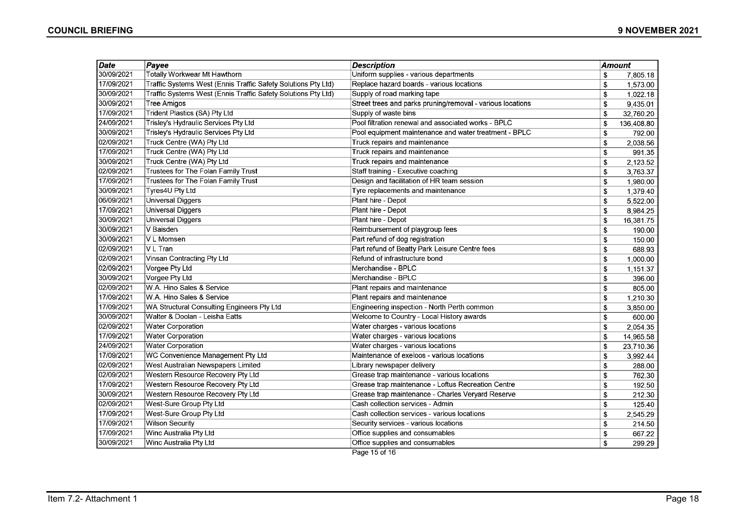| Date       | Payee                                                         | <b>Description</b>                                         | <b>Amount</b> |            |
|------------|---------------------------------------------------------------|------------------------------------------------------------|---------------|------------|
| 30/09/2021 | Totally Workwear Mt Hawthorn                                  | Uniform supplies - various departments                     | \$            | 7,805.18   |
| 17/09/2021 | Traffic Systems West (Ennis Traffic Safety Solutions Pty Ltd) | Replace hazard boards - various locations                  | \$            | 1,573.00   |
| 30/09/2021 | Traffic Systems West (Ennis Traffic Safety Solutions Pty Ltd) | Supply of road marking tape                                | \$            | 1,022.18   |
| 30/09/2021 | <b>Tree Amigos</b>                                            | Street trees and parks pruning/removal - various locations | \$            | 9,435.01   |
| 17/09/2021 | Trident Plastics (SA) Pty Ltd                                 | Supply of waste bins                                       | \$            | 32,760.20  |
| 24/09/2021 | Trisley's Hydraulic Services Pty Ltd                          | Pool filtration renewal and associated works - BPLC        | \$            | 136,408.80 |
| 30/09/2021 | Trisley's Hydraulic Services Pty Ltd                          | Pool equipment maintenance and water treatment - BPLC      | \$            | 792.00     |
| 02/09/2021 | Truck Centre (WA) Pty Ltd                                     | Truck repairs and maintenance                              | \$            | 2,038.56   |
| 17/09/2021 | Truck Centre (WA) Pty Ltd                                     | Truck repairs and maintenance                              | \$            | 991.35     |
| 30/09/2021 | Truck Centre (WA) Pty Ltd                                     | Truck repairs and maintenance                              | \$            | 2,123.52   |
| 02/09/2021 | Trustees for The Folan Family Trust                           | Staff training - Executive coaching                        | \$            | 3,763.37   |
| 17/09/2021 | Trustees for The Folan Family Trust                           | Design and facilitation of HR team session                 | \$            | 1,980.00   |
| 30/09/2021 | Tyres4U Pty Ltd                                               | Tyre replacements and maintenance                          | \$            | 1,379.40   |
| 06/09/2021 | Universal Diggers                                             | Plant hire - Depot                                         | \$            | 5,522.00   |
| 17/09/2021 | <b>Universal Diggers</b>                                      | Plant hire - Depot                                         | \$            | 8,984.25   |
| 30/09/2021 | Universal Diggers                                             | Plant hire - Depot                                         | \$            | 16,381.75  |
| 30/09/2021 | V Baisden                                                     | Reimbursement of playgroup fees                            | \$            | 190.00     |
| 30/09/2021 | V L Momsen                                                    | Part refund of dog registration                            | \$            | 150.00     |
| 02/09/2021 | VL Tran                                                       | Part refund of Beatty Park Leisure Centre fees             | \$            | 688.93     |
| 02/09/2021 | Vinsan Contracting Pty Ltd                                    | Refund of infrastructure bond                              | \$            | 1,000.00   |
| 02/09/2021 | Vorgee Pty Ltd                                                | Merchandise - BPLC                                         | \$            | 1,151.37   |
| 30/09/2021 | Vorgee Pty Ltd                                                | Merchandise - BPLC                                         | \$            | 396.00     |
| 02/09/2021 | W.A. Hino Sales & Service                                     | Plant repairs and maintenance                              | \$            | 805.00     |
| 17/09/2021 | W.A. Hino Sales & Service                                     | Plant repairs and maintenance                              | \$            | 1,210.30   |
| 17/09/2021 | WA Structural Consulting Engineers Pty Ltd                    | Engineering inspection - North Perth common                | \$            | 3,850.00   |
| 30/09/2021 | Walter & Doolan - Leisha Eatts                                | Welcome to Country - Local History awards                  | \$            | 600.00     |
| 02/09/2021 | <b>Water Corporation</b>                                      | Water charges - various locations                          | \$            | 2,054.35   |
| 17/09/2021 | <b>Water Corporation</b>                                      | Water charges - various locations                          | \$            | 14,965.58  |
| 24/09/2021 | <b>Water Corporation</b>                                      | Water charges - various locations                          | \$            | 23,710.36  |
| 17/09/2021 | WC Convenience Management Pty Ltd                             | Maintenance of exeloos - various locations                 | \$            | 3,992.44   |
| 02/09/2021 | West Australian Newspapers Limited                            | Library newspaper delivery                                 | \$            | 288.00     |
| 02/09/2021 | Western Resource Recovery Pty Ltd                             | Grease trap maintenance - various locations                | \$            | 762.30     |
| 17/09/2021 | Western Resource Recovery Pty Ltd                             | Grease trap maintenance - Loftus Recreation Centre         | \$            | 192.50     |
| 30/09/2021 | Western Resource Recovery Pty Ltd                             | Grease trap maintenance - Charles Veryard Reserve          | \$            | 212.30     |
| 02/09/2021 | <b>West-Sure Group Pty Ltd</b>                                | Cash collection services - Admin                           | \$            | 125.40     |
| 17/09/2021 | West-Sure Group Pty Ltd                                       | Cash collection services - various locations               | \$            | 2,545.29   |
| 17/09/2021 | <b>Wilson Security</b>                                        | Security services - various locations                      | \$            | 214.50     |
| 17/09/2021 | Winc Australia Pty Ltd                                        | Office supplies and consumables                            | \$            | 667.22     |
| 30/09/2021 | Winc Australia Pty Ltd                                        | Office supplies and consumables                            | \$            | 299.29     |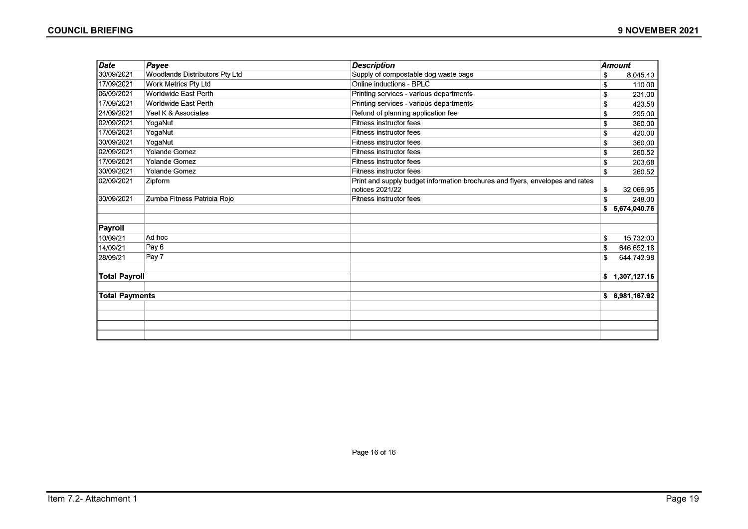| Date                  | Payee                          | <b>Description</b>                                                                               |    | <b>Amount</b> |
|-----------------------|--------------------------------|--------------------------------------------------------------------------------------------------|----|---------------|
| 30/09/2021            | Woodlands Distributors Pty Ltd | Supply of compostable dog waste bags                                                             | \$ | 8.045.40      |
| 17/09/2021            | Work Metrics Pty Ltd           | Online inductions - BPLC                                                                         | \$ | 110.00        |
| 06/09/2021            | Worldwide East Perth           | Printing services - various departments                                                          | \$ | 231.00        |
| 17/09/2021            | Worldwide East Perth           | Printing services - various departments                                                          | \$ | 423.50        |
| 24/09/2021            | Yael K & Associates            | Refund of planning application fee                                                               | \$ | 295.00        |
| 02/09/2021            | YogaNut                        | <b>Fitness instructor fees</b>                                                                   | \$ | 360.00        |
| 17/09/2021            | YogaNut                        | <b>Fitness instructor fees</b>                                                                   | S  | 420.00        |
| 30/09/2021            | YogaNut                        | <b>Fitness instructor fees</b>                                                                   | \$ | 360.00        |
| 02/09/2021            | <b>Yolande Gomez</b>           | Fitness instructor fees                                                                          | \$ | 260.52        |
| 17/09/2021            | <b>Yolande Gomez</b>           | <b>Fitness instructor fees</b>                                                                   | S  | 203.68        |
| 30/09/2021            | <b>Yolande Gomez</b>           | Fitness instructor fees                                                                          | \$ | 260.52        |
| 02/09/2021            | <b>Zipform</b>                 | Print and supply budget information brochures and flyers, envelopes and rates<br>notices 2021/22 | \$ | 32,066.95     |
| 30/09/2021            | Zumba Fitness Patricia Rojo    | <b>Fitness instructor fees</b>                                                                   | \$ | 248.00        |
|                       |                                |                                                                                                  | \$ | 5,674,040.76  |
|                       |                                |                                                                                                  |    |               |
| Payroll               |                                |                                                                                                  |    |               |
| 10/09/21              | Ad hoc                         |                                                                                                  | \$ | 15,732.00     |
| 14/09/21              | Pay 6                          |                                                                                                  | \$ | 646,652.18    |
| 28/09/21              | Pay 7                          |                                                                                                  | \$ | 644,742.98    |
| <b>Total Payroll</b>  |                                |                                                                                                  | s. | 1,307,127.16  |
|                       |                                |                                                                                                  |    |               |
| <b>Total Payments</b> |                                |                                                                                                  | s. | 6,981,167.92  |
|                       |                                |                                                                                                  |    |               |
|                       |                                |                                                                                                  |    |               |
|                       |                                |                                                                                                  |    |               |
|                       |                                |                                                                                                  |    |               |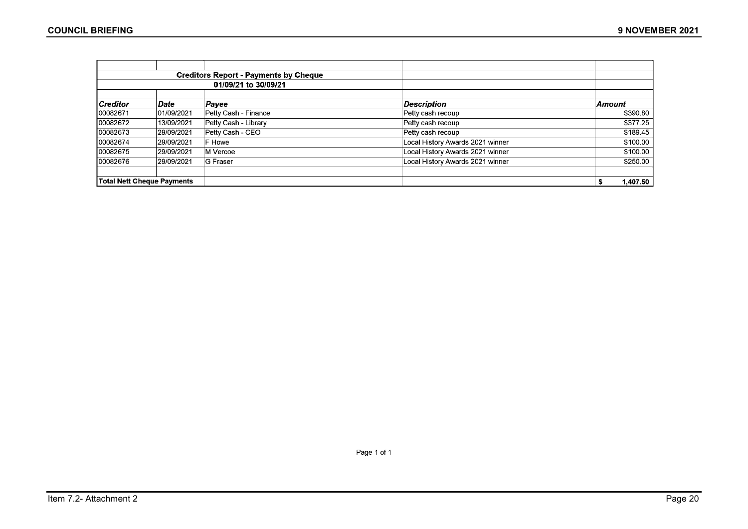|                 |                            | <b>Creditors Report - Payments by Cheque</b> |                                  |               |
|-----------------|----------------------------|----------------------------------------------|----------------------------------|---------------|
|                 |                            | 01/09/21 to 30/09/21                         |                                  |               |
| <b>Creditor</b> | Date                       | Payee                                        | <b>Description</b>               | <b>Amount</b> |
| 00082671        | 01/09/2021                 | Petty Cash - Finance                         | Petty cash recoup                | \$390.80      |
| 00082672        | 13/09/2021                 | Petty Cash - Library                         | Petty cash recoup                | \$377.25      |
| 100082673       | 29/09/2021                 | Petty Cash - CEO                             | Petty cash recoup                | \$189.45      |
| 100082674       | 29/09/2021                 | F Howe                                       | Local History Awards 2021 winner | \$100.00      |
| 00082675        | 29/09/2021                 | M Vercoe                                     | Local History Awards 2021 winner | \$100.00      |
| 00082676        | 29/09/2021                 | <b>G</b> Fraser                              | Local History Awards 2021 winner | \$250.00      |
|                 | Total Nett Cheque Payments |                                              |                                  | 1,407.50      |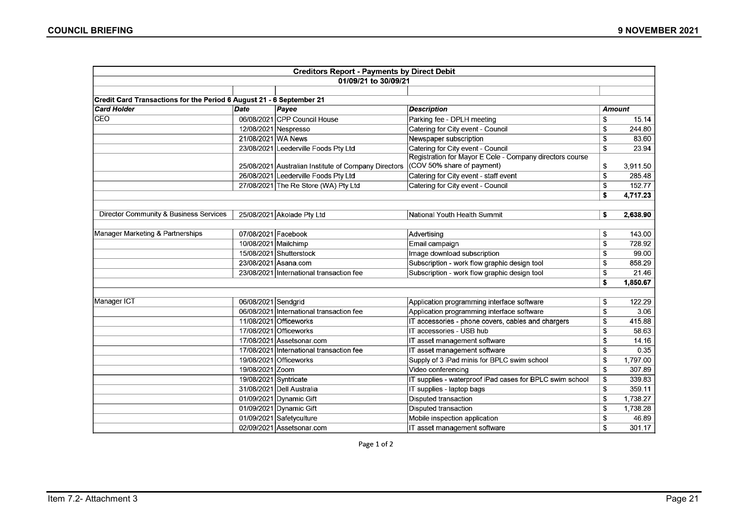|                                                                      |                       | <b>Creditors Report - Payments by Direct Debit</b>   |                                                          |     |               |
|----------------------------------------------------------------------|-----------------------|------------------------------------------------------|----------------------------------------------------------|-----|---------------|
|                                                                      |                       | 01/09/21 to 30/09/21                                 |                                                          |     |               |
|                                                                      |                       |                                                      |                                                          |     |               |
| Credit Card Transactions for the Period 6 August 21 - 6 September 21 |                       |                                                      |                                                          |     |               |
| <b>Card Holder</b>                                                   | <b>Date</b>           | Payee                                                | <b>Description</b>                                       |     | <b>Amount</b> |
| CEO                                                                  |                       | 06/08/2021 CPP Council House                         | Parking fee - DPLH meeting                               | s   | 15.14         |
|                                                                      | 12/08/2021 Nespresso  |                                                      | Catering for City event - Council                        | \$  | 244.80        |
|                                                                      | 21/08/2021 WA News    |                                                      | Newspaper subscription                                   | \$  | 83.60         |
|                                                                      |                       | 23/08/2021 Leederville Foods Pty Ltd                 | Catering for City event - Council                        | Ŝ.  | 23.94         |
|                                                                      |                       |                                                      | Registration for Mayor E Cole - Company directors course |     |               |
|                                                                      |                       | 25/08/2021 Australian Institute of Company Directors | (COV 50% share of payment)                               | \$  | 3,911.50      |
|                                                                      |                       | 26/08/2021 Leederville Foods Pty Ltd                 | Catering for City event - staff event                    | \$  | 285.48        |
|                                                                      |                       | 27/08/2021 The Re Store (WA) Pty Ltd                 | Catering for City event - Council                        | \$  | 152.77        |
|                                                                      |                       |                                                      |                                                          | \$  | 4,717.23      |
|                                                                      |                       |                                                      |                                                          |     |               |
| Director Community & Business Services                               |                       | 25/08/2021 Akolade Pty Ltd                           | National Youth Health Summit                             | \$  | 2,638.90      |
|                                                                      |                       |                                                      |                                                          |     |               |
| Manager Marketing & Partnerships                                     | 07/08/2021 Facebook   |                                                      | Advertising                                              | \$  | 143.00        |
|                                                                      | 10/08/2021 Mailchimp  |                                                      | Email campaign                                           | Ŝ.  | 728.92        |
|                                                                      |                       | 15/08/2021 Shutterstock                              | Image download subscription                              | Ŝ.  | 99.00         |
|                                                                      |                       | 23/08/2021 Asana.com                                 | Subscription - work flow graphic design tool             | \$  | 858.29        |
|                                                                      |                       | 23/08/2021 International transaction fee             | Subscription - work flow graphic design tool             | \$  | 21.46         |
|                                                                      |                       |                                                      |                                                          | \$  | 1,850.67      |
|                                                                      |                       |                                                      |                                                          |     |               |
| Manager ICT                                                          | 06/08/2021 Sendgrid   |                                                      | Application programming interface software               | \$  | 122.29        |
|                                                                      |                       | 06/08/2021 International transaction fee             | Application programming interface software               | \$  | 3.06          |
|                                                                      |                       | 11/08/2021 Officeworks                               | IT accessories - phone covers, cables and chargers       | \$  | 415.88        |
|                                                                      |                       | 17/08/2021 Officeworks                               | IT accessories - USB hub                                 | \$  | 58.63         |
|                                                                      |                       | 17/08/2021 Assetsonar.com                            | IT asset management software                             | \$  | 14.16         |
|                                                                      |                       | 17/08/2021 International transaction fee             | IT asset management software                             | \$  | 0.35          |
|                                                                      |                       | 19/08/2021 Officeworks                               | Supply of 3 iPad minis for BPLC swim school              | \$  | 1,797.00      |
|                                                                      | 19/08/2021 Zoom       |                                                      | Video conferencing                                       | \$  | 307.89        |
|                                                                      | 19/08/2021 Syntricate |                                                      | IT supplies - waterproof iPad cases for BPLC swim school | \$  | 339.83        |
|                                                                      |                       | 31/08/2021 Dell Australia                            | IT supplies - laptop bags                                | \$  | 359.11        |
|                                                                      |                       | 01/09/2021 Dynamic Gift                              | <b>Disputed transaction</b>                              | \$  | 1,738.27      |
|                                                                      |                       | 01/09/2021 Dynamic Gift                              | Disputed transaction                                     | Ŝ.  | 1,738.28      |
|                                                                      |                       | 01/09/2021 Safetyculture                             | Mobile inspection application                            | \$  | 46.89         |
|                                                                      |                       | 02/09/2021 Assetsonar.com                            | IT asset management software                             | \$. | 301.17        |

Page 1 of 2